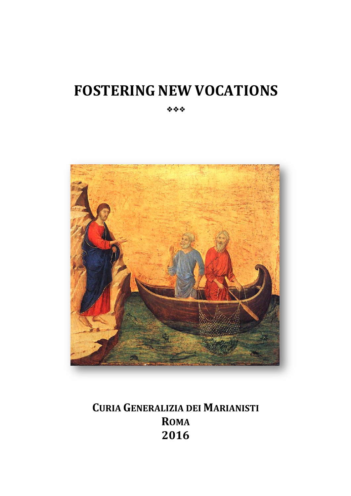## **FOSTERING NEW VOCATIONS**

للمرتبط المعارض



**CURIA GENERALIZIA DEI MARIANISTI ROMA 2016**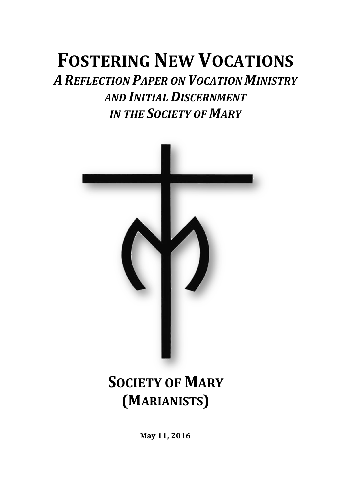# **FOSTERING NEW VOCATIONS**

*A REFLECTION PAPER ON VOCATION MINISTRY AND INITIAL DISCERNMENT IN THE SOCIETY OF MARY*



## **SOCIETY OF MARY (MARIANISTS)**

**May 11, 2016**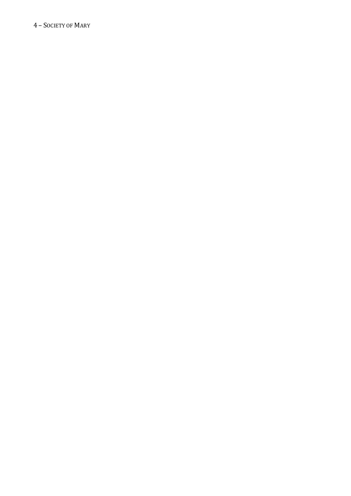4 - SOCIETY OF MARY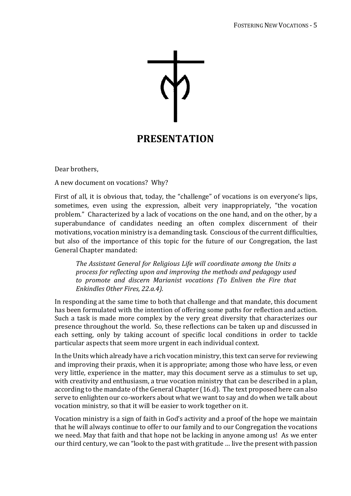

## **PRESENTATION**

Dear brothers.

A new document on vocations? Why?

First of all, it is obvious that, today, the "challenge" of vocations is on everyone's lips, sometimes, even using the expression, albeit very inappropriately, "the vocation problem." Characterized by a lack of vocations on the one hand, and on the other, by a superabundance of candidates needing an often complex discernment of their motivations, vocation ministry is a demanding task. Conscious of the current difficulties, but also of the importance of this topic for the future of our Congregation, the last General Chapter mandated:

*The Assistant General for Religious Life will coordinate among the Units a process for reflecting upon and improving the methods and pedagogy used to promote and discern Marianist vocations (To Enliven the Fire that Enkindles Other Fires, 22.a.4).*

In responding at the same time to both that challenge and that mandate, this document has been formulated with the intention of offering some paths for reflection and action. Such a task is made more complex by the very great diversity that characterizes our presence throughout the world. So, these reflections can be taken up and discussed in each setting, only by taking account of specific local conditions in order to tackle particular aspects that seem more urgent in each individual context.

In the Units which already have a rich vocation ministry, this text can serve for reviewing and improving their praxis, when it is appropriate; among those who have less, or even very little, experience in the matter, may this document serve as a stimulus to set up, with creativity and enthusiasm, a true vocation ministry that can be described in a plan, according to the mandate of the General Chapter (16.d). The text proposed here can also serve to enlighten our co-workers about what we want to say and do when we talk about vocation ministry, so that it will be easier to work together on it.

Vocation ministry is a sign of faith in God's activity and a proof of the hope we maintain that he will always continue to offer to our family and to our Congregation the vocations we need. May that faith and that hope not be lacking in anyone among us! As we enter our third century, we can "look to the past with gratitude ... live the present with passion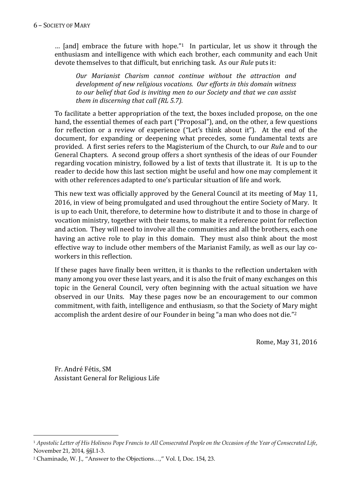... [and] embrace the future with hope."<sup>1</sup> In particular, let us show it through the enthusiasm and intelligence with which each brother, each community and each Unit devote themselves to that difficult, but enriching task. As our *Rule* puts it:

*Our Marianist Charism cannot continue without the attraction and development of new religious vocations. Our efforts in this domain witness to our belief that God is inviting men to our Society and that we can assist them in discerning that call (RL 5.7).*

To facilitate a better appropriation of the text, the boxes included propose, on the one hand, the essential themes of each part ("Proposal"), and, on the other, a few questions for reflection or a review of experience ("Let's think about it"). At the end of the document, for expanding or deepening what precedes, some fundamental texts are provided. A first series refers to the Magisterium of the Church, to our *Rule* and to our General Chapters. A second group offers a short synthesis of the ideas of our Founder regarding vocation ministry, followed by a list of texts that illustrate it. It is up to the reader to decide how this last section might be useful and how one may complement it with other references adapted to one's particular situation of life and work.

This new text was officially approved by the General Council at its meeting of May 11, 2016, in view of being promulgated and used throughout the entire Society of Mary. It is up to each Unit, therefore, to determine how to distribute it and to those in charge of vocation ministry, together with their teams, to make it a reference point for reflection and action. They will need to involve all the communities and all the brothers, each one having an active role to play in this domain. They must also think about the most effective way to include other members of the Marianist Family, as well as our lay coworkers in this reflection.

If these pages have finally been written, it is thanks to the reflection undertaken with many among you over these last years, and it is also the fruit of many exchanges on this topic in the General Council, very often beginning with the actual situation we have observed in our Units. May these pages now be an encouragement to our common commitment, with faith, intelligence and enthusiasm, so that the Society of Mary might accomplish the ardent desire of our Founder in being "a man who does not die."<sup>2</sup>

Rome, May 31, 2016

Fr. André Fétis, SM Assistant General for Religious Life

<u> 1989 - Johann Barn, mars ar breithinn ar chuid ann an t-</u>

<sup>&</sup>lt;sup>1</sup> Apostolic Letter of His Holiness Pope Francis to All Consecrated People on the Occasion of the Year of Consecrated Life, November 21, 2014, §§I.1‐3.

<sup>2</sup> Chaminade, W. J., "Answer to the Objections…," Vol. I, Doc. 154, 23.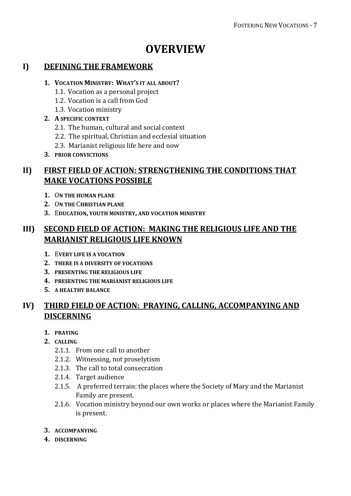## **OVERVIEW**

## **I) DEFINING THE FRAMEWORK**

## **1. VOCATION MINISTRY: WHAT'S IT ALL ABOUT?**

- 1.1. Vocation as a personal project
- 1.2. Vocation is a call from God
- 1.3. Vocation ministry

## **2. A SPECIFIC CONTEXT**

- 2.1. The human, cultural and social context
- 2.2. The spiritual, Christian and ecclesial situation
- 2.3. Marianist religious life here and now
- **3. PRIOR CONVICTIONS**

## **II) FIRST FIELD OF ACTION: STRENGTHENING THE CONDITIONS THAT MAKE VOCATIONS POSSIBLE**

- **1.** O**N THE HUMAN PLANE**
- **2.** O**N THE** C**HRISTIAN PLANE**
- **3.** E**DUCATION, YOUTH MINISTRY, AND VOCATION MINISTRY**

## **III) SECOND FIELD OF ACTION: MAKING THE RELIGIOUS LIFE AND THE MARIANIST RELIGIOUS LIFE KNOWN**

- **1.** E**VERY LIFE IS A VOCATION**
- **2. THERE IS A DIVERSITY OF VOCATIONS**
- **3. PRESENTING THE RELIGIOUS LIFE**
- **4. PRESENTING THE MARIANIST RELIGIOUS LIFE**
- **5. A HEALTHY BALANCE**

## **IV) THIRD FIELD OF ACTION: PRAYING, CALLING, ACCOMPANYING AND DISCERNING**

- **1. PRAYING**
- **2. CALLING**
	- 2.1.1. From one call to another
	- 2.1.2. Witnessing, not proselytism
	- 2.1.3. The call to total consecration
	- 2.1.4. Target audience
	- 2.1.5. A preferred terrain: the places where the Society of Mary and the Marianist Family are present.
	- 2.1.6. Vocation ministry beyond our own works or places where the Marianist Family is present.
- **3. ACCOMPANYING**
- **4. DISCERNING**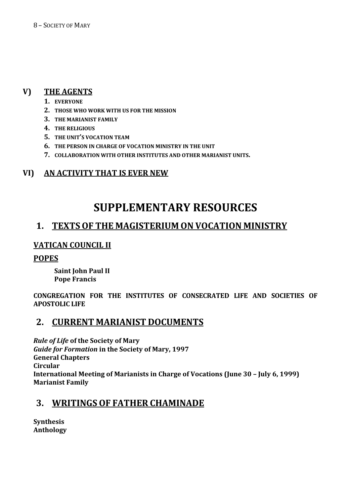## **V) THE AGENTS**

- **1. EVERYONE**
- **2. THOSE WHO WORK WITH US FOR THE MISSION**
- **3. THE MARIANIST FAMILY**
- **4. THE RELIGIOUS**
- **5. THE UNIT'S VOCATION TEAM**
- **6. THE PERSON IN CHARGE OF VOCATION MINISTRY IN THE UNIT**
- **7. COLLABORATION WITH OTHER INSTITUTES AND OTHER MARIANIST UNITS.**

## **VI) AN ACTIVITY THAT IS EVER NEW**

## **SUPPLEMENTARY RESOURCES**

## **1. TEXTSOF THE MAGISTERIUM ON VOCATION MINISTRY**

## **VATICAN COUNCIL II**

#### **POPES**

**Saint John Paul II Pope Francis**

**CONGREGATION FOR THE INSTITUTES OF CONSECRATED LIFE AND SOCIETIES OF APOSTOLIC LIFE** 

## **2. CURRENT MARIANIST DOCUMENTS**

*Rule of Life* **of the Society of Mary** *Guide for Formation* **in the Society of Mary, 1997 General Chapters Circular International Meeting of Marianists in Charge of Vocations (June 30 – July 6, 1999) Marianist Family**

## **3. WRITINGS OF FATHER CHAMINADE**

**Synthesis Anthology**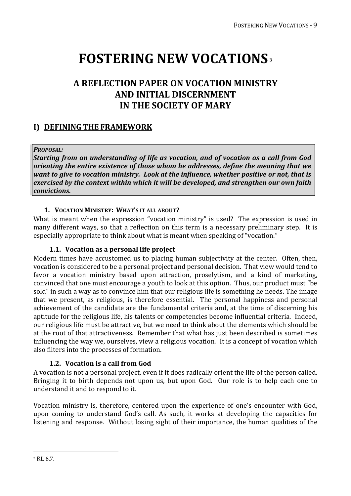## **FOSTERING NEW VOCATIONS <sup>3</sup>**

## **A REFLECTION PAPER ON VOCATION MINISTRY AND INITIAL DISCERNMENT IN THE SOCIETY OF MARY**

## **I) DEFINING THE FRAMEWORK**

#### *PROPOSAL:*

*Starting from an understanding of life as vocation, and of vocation as a call from God orienting the entire existence of those whom he addresses, define the meaning that we want to give to vocation ministry. Look at the influence, whether positive or not, that is exercised by the context within which it will be developed, and strengthen our own faith convictions.*

#### **1. VOCATION MINISTRY: WHAT'S IT ALL ABOUT?**

What is meant when the expression "vocation ministry" is used? The expression is used in many different ways, so that a reflection on this term is a necessary preliminary step. It is especially appropriate to think about what is meant when speaking of "vocation."

#### **1.1. Vocation as a personal life project**

Modern times have accustomed us to placing human subjectivity at the center. Often, then, vocation is considered to be a personal project and personal decision. That view would tend to favor a vocation ministry based upon attraction, proselytism, and a kind of marketing, convinced that one must encourage a youth to look at this option. Thus, our product must "be sold" in such a way as to convince him that our religious life is something he needs. The image that we present, as religious, is therefore essential. The personal happiness and personal achievement of the candidate are the fundamental criteria and, at the time of discerning his aptitude for the religious life, his talents or competencies become influential criteria. Indeed, our religious life must be attractive, but we need to think about the elements which should be at the root of that attractiveness. Remember that what has just been described is sometimes influencing the way we, ourselves, view a religious vocation. It is a concept of vocation which also filters into the processes of formation.

#### **1.2. Vocation is a call from God**

A vocation is not a personal project, even if it does radically orient the life of the person called. Bringing it to birth depends not upon us, but upon God. Our role is to help each one to understand it and to respond to it.

Vocation ministry is, therefore, centered upon the experience of one's encounter with God, upon coming to understand God's call. As such, it works at developing the capacities for listening and response. Without losing sight of their importance, the human qualities of the

<u> 1989 - Johann Barn, mars ar breithinn ar chuid ann an t-</u>

<sup>3</sup> RL 6.7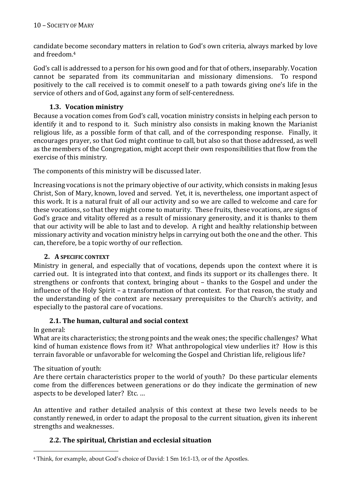candidate become secondary matters in relation to God's own criteria, always marked by love and freedom.<sup>4</sup>

God's call is addressed to a person for his own good and for that of others, inseparably. Vocation cannot be separated from its communitarian and missionary dimensions. To respond positively to the call received is to commit oneself to a path towards giving one's life in the service of others and of God, against any form of self-centeredness.

#### **1.3. Vocation ministry**

Because a vocation comes from God's call, vocation ministry consists in helping each person to identify it and to respond to it. Such ministry also consists in making known the Marianist religious life, as a possible form of that call, and of the corresponding response. Finally, it encourages prayer, so that God might continue to call, but also so that those addressed, as well as the members of the Congregation, might accept their own responsibilities that flow from the exercise of this ministry.

The components of this ministry will be discussed later.

Increasing vocations is not the primary objective of our activity, which consists in making Jesus Christ, Son of Mary, known, loved and served. Yet, it is, nevertheless, one important aspect of this work. It is a natural fruit of all our activity and so we are called to welcome and care for these vocations, so that they might come to maturity. These fruits, these vocations, are signs of God's grace and vitality offered as a result of missionary generosity, and it is thanks to them that our activity will be able to last and to develop. A right and healthy relationship between missionary activity and vocation ministry helps in carrying out both the one and the other. This can, therefore, be a topic worthy of our reflection.

#### **2. A SPECIFIC CONTEXT**

Ministry in general, and especially that of vocations, depends upon the context where it is carried out. It is integrated into that context, and finds its support or its challenges there. It strengthens or confronts that context, bringing about – thanks to the Gospel and under the influence of the Holy Spirit – a transformation of that context. For that reason, the study and the understanding of the context are necessary prerequisites to the Church's activity, and especially to the pastoral care of vocations.

#### **2.1. The human, cultural and social context**

#### In general:

What are its characteristics; the strong points and the weak ones; the specific challenges? What kind of human existence flows from it? What anthropological view underlies it? How is this terrain favorable or unfavorable for welcoming the Gospel and Christian life, religious life?

#### The situation of youth:

<u> 1989 - Johann Barn, mars ar breithinn ar chuid ann an t-</u>

Are there certain characteristics proper to the world of youth? Do these particular elements come from the differences between generations or do they indicate the germination of new aspects to be developed later? Etc. ...

An attentive and rather detailed analysis of this context at these two levels needs to be constantly renewed, in order to adapt the proposal to the current situation, given its inherent strengths and weaknesses.

#### **2.2. The spiritual, Christian and ecclesial situation**

<sup>4</sup> Think, for example, about God's choice of David: 1 Sm 16:1‐13, or of the Apostles.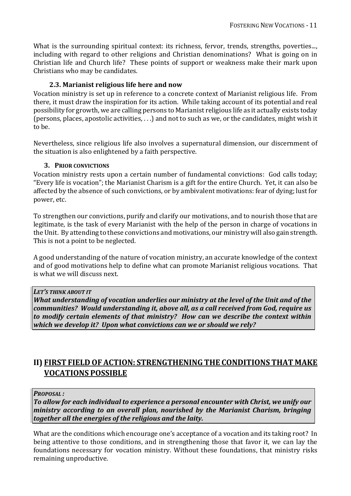What is the surrounding spiritual context: its richness, fervor, trends, strengths, poverties..., including with regard to other religions and Christian denominations? What is going on in Christian life and Church life? These points of support or weakness make their mark upon Christians who may be candidates.

#### **2.3. Marianist religious life here and now**

Vocation ministry is set up in reference to a concrete context of Marianist religious life. From there, it must draw the inspiration for its action. While taking account of its potential and real possibility for growth, we are calling persons to Marianist religious life as it actually exists today (persons, places, apostolic activities, ...) and not to such as we, or the candidates, might wish it to be.

Nevertheless, since religious life also involves a supernatural dimension, our discernment of the situation is also enlightened by a faith perspective.

#### **3. PRIOR CONVICTIONS**

Vocation ministry rests upon a certain number of fundamental convictions: God calls today; "Every life is vocation"; the Marianist Charism is a gift for the entire Church. Yet, it can also be affected by the absence of such convictions, or by ambivalent motivations: fear of dying; lust for power, etc.

To strengthen our convictions, purify and clarify our motivations, and to nourish those that are legitimate, is the task of every Marianist with the help of the person in charge of vocations in the Unit. By attending to these convictions and motivations, our ministry will also gain strength. This is not a point to be neglected.

A good understanding of the nature of vocation ministry, an accurate knowledge of the context and of good motivations help to define what can promote Marianist religious vocations. That is what we will discuss next.

#### *LET'S THINK ABOUT IT*

*What understanding of vocation underlies our ministry at the level of the Unit and of the communities? Would understanding it, above all, as a call received from God, require us to modify certain elements of that ministry? How can we describe the context within which we develop it? Upon what convictions can we or should we rely?*

## **II) FIRST FIELD OF ACTION: STRENGTHENING THE CONDITIONS THAT MAKE VOCATIONS POSSIBLE**

#### *PROPOSAL :*

*To allow for each individual to experience a personal encounter with Christ, we unify our ministry according to an overall plan, nourished by the Marianist Charism, bringing together all the energies of the religious and the laity.*

What are the conditions which encourage one's acceptance of a vocation and its taking root? In being attentive to those conditions, and in strengthening those that favor it, we can lay the foundations necessary for vocation ministry. Without these foundations, that ministry risks remaining unproductive.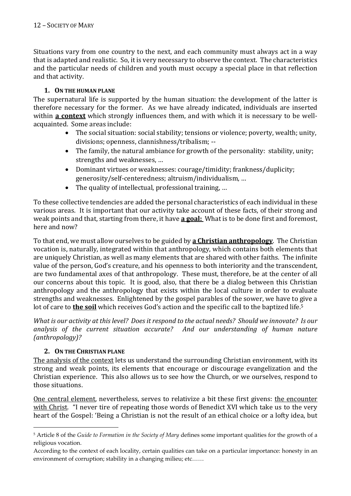Situations vary from one country to the next, and each community must always act in a way that is adapted and realistic. So, it is very necessary to observe the context. The characteristics and the particular needs of children and youth must occupy a special place in that reflection and that activity.

#### **1. ON THE HUMAN PLANE**

The supernatural life is supported by the human situation: the development of the latter is therefore necessary for the former. As we have already indicated, individuals are inserted within **a context** which strongly influences them, and with which it is necessary to be wellacquainted. Some areas include:

- The social situation: social stability; tensions or violence; poverty, wealth; unity, divisions; openness, clannishness/tribalism; --
- The family, the natural ambiance for growth of the personality: stability, unity; strengths and weaknesses, ...
- Dominant virtues or weaknesses: courage/timidity; frankness/duplicity; generosity/self-centeredness; altruism/individualism, ...
- The quality of intellectual, professional training, ...

To these collective tendencies are added the personal characteristics of each individual in these various areas. It is important that our activity take account of these facts, of their strong and weak points and that, starting from there, it have **a goal:** What is to be done first and foremost, here and now?

To that end, we must allow ourselves to be guided by **a Christian anthropology**. The Christian vocation is, naturally, integrated within that anthropology, which contains both elements that are uniquely Christian, as well as many elements that are shared with other faiths. The infinite value of the person, God's creature, and his openness to both interiority and the transcendent, are two fundamental axes of that anthropology. These must, therefore, be at the center of all our concerns about this topic. It is good, also, that there be a dialog between this Christian anthropology and the anthropology that exists within the local culture in order to evaluate strengths and weaknesses. Enlightened by the gospel parables of the sower, we have to give a lot of care to **the soil** which receives God's action and the specific call to the baptized life.<sup>5</sup>

What is our activity at this level? Does it respond to the actual needs? Should we innovate? Is our *analysis of the current situation accurate? And our understanding of human nature (anthropology)?*

#### **2. ON THE CHRISTIAN PLANE**

<u> 1989 - Johann Barn, mars ar breithinn ar chuid ann an t-</u>

The analysis of the context lets us understand the surrounding Christian environment, with its strong and weak points, its elements that encourage or discourage evangelization and the Christian experience. This also allows us to see how the Church, or we ourselves, respond to those situations.

One central element, nevertheless, serves to relativize a bit these first givens; the encounter with Christ. "I never tire of repeating those words of Benedict XVI which take us to the very heart of the Gospel: 'Being a Christian is not the result of an ethical choice or a lofty idea, but

<sup>5</sup> Article 8 of the *Guide to Formation in the Society of Mary* defines some important qualities for the growth of a religious vocation.

According to the context of each locality, certain qualities can take on a particular importance: honesty in an environment of corruption; stability in a changing milieu; etc……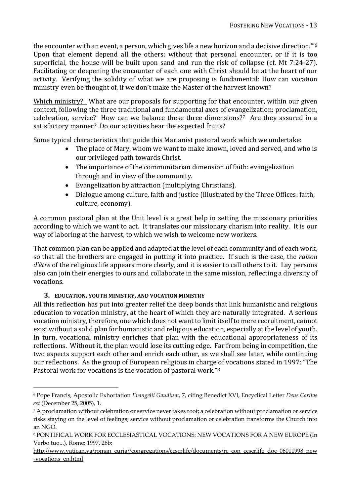the encounter with an event, a person, which gives life a new horizon and a decisive direction."<sup>6</sup> Upon that element depend all the others: without that personal encounter, or if it is too superficial, the house will be built upon sand and run the risk of collapse (cf. Mt  $7:24-27$ ). Facilitating or deepening the encounter of each one with Christ should be at the heart of our activity. Verifying the solidity of what we are proposing is fundamental: How can vocation ministry even be thought of, if we don't make the Master of the harvest known?

Which ministry? What are our proposals for supporting for that encounter, within our given context, following the three traditional and fundamental axes of evangelization: proclamation, celebration, service? How can we balance these three dimensions?<sup>7</sup> Are they assured in a satisfactory manner? Do our activities bear the expected fruits?

Some typical characteristics that guide this Marianist pastoral work which we undertake:

- The place of Mary, whom we want to make known, loved and served, and who is our privileged path towards Christ.
- $\bullet$  The importance of the communitarian dimension of faith: evangelization through and in view of the community.
- Evangelization by attraction (multiplying Christians).
- Dialogue among culture, faith and justice (illustrated by the Three Offices: faith, culture, economy).

A common pastoral plan at the Unit level is a great help in setting the missionary priorities according to which we want to act. It translates our missionary charism into reality. It is our way of laboring at the harvest, to which we wish to welcome new workers.

That common plan can be applied and adapted at the level of each community and of each work, so that all the brothers are engaged in putting it into practice. If such is the case, the *raison d'être* of the religious life appears more clearly, and it is easier to call others to it. Lay persons also can join their energies to ours and collaborate in the same mission, reflecting a diversity of vocations. 

#### **3. EDUCATION, YOUTH MINISTRY, AND VOCATION MINISTRY**

<u> 1989 - Jan Barnett, fransk politiker (d. 1989)</u>

All this reflection has put into greater relief the deep bonds that link humanistic and religious education to vocation ministry, at the heart of which they are naturally integrated. A serious vocation ministry, therefore, one which does not want to limit itself to mere recruitment, cannot exist without a solid plan for humanistic and religious education, especially at the level of youth. In turn, vocational ministry enriches that plan with the educational appropriateness of its reflections. Without it, the plan would lose its cutting edge. Far from being in competition, the two aspects support each other and enrich each other, as we shall see later, while continuing our reflections. As the group of European religious in charge of vocations stated in 1997: "The Pastoral work for vocations is the vocation of pastoral work."<sup>8</sup>

<sup>6</sup> Pope Francis, Apostolic Exhortation *Evangelii Gaudium*, 7, citing Benedict XVI, Encyclical Letter *Deus Caritas est* (December 25, 2005), 1.

<sup>&</sup>lt;sup>7</sup> A proclamation without celebration or service never takes root; a celebration without proclamation or service risks staying on the level of feelings; service without proclamation or celebration transforms the Church into an NGO.

<sup>8</sup> PONTIFICAL WORK FOR ECCLESIASTICAL VOCATIONS: NEW VOCATIONS FOR A NEW EUROPE (In Verbo tuo...), Rome: 1997, 26b:

http://www.vatican.va/roman\_curia//congregations/ccscrlife/documents/rc\_con\_ccscrlife\_doc\_06011998\_new ‐vocations\_en.html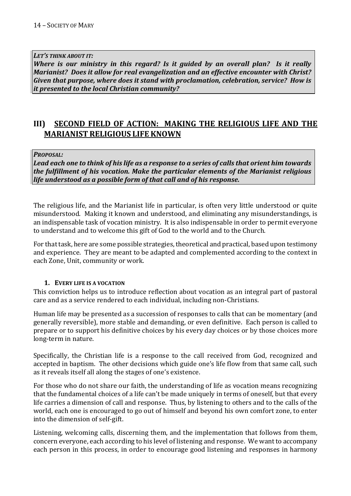#### *LET'S THINK ABOUT IT:*

*Where is our ministry in this regard? Is it guided by an overall plan? Is it really Marianist? Does it allow for real evangelization and an effective encounter with Christ? Given that purpose, where does it stand with proclamation, celebration, service? How is it presented to the local Christian community?*

## **III) SECOND FIELD OF ACTION: MAKING THE RELIGIOUS LIFE AND THE MARIANIST RELIGIOUS LIFE KNOWN**

*PROPOSAL:*

Lead each one to think of his life as a response to a series of calls that orient him towards *the fulfillment of his vocation. Make the particular elements of the Marianist religious life understood as a possible form of that call and of his response.*

The religious life, and the Marianist life in particular, is often very little understood or quite misunderstood. Making it known and understood, and eliminating any misunderstandings, is an indispensable task of vocation ministry. It is also indispensable in order to permit everyone to understand and to welcome this gift of God to the world and to the Church.

For that task, here are some possible strategies, theoretical and practical, based upon testimony and experience. They are meant to be adapted and complemented according to the context in each Zone, Unit, community or work.

#### **1. EVERY LIFE IS A VOCATION**

This conviction helps us to introduce reflection about vocation as an integral part of pastoral care and as a service rendered to each individual, including non-Christians.

Human life may be presented as a succession of responses to calls that can be momentary (and generally reversible), more stable and demanding, or even definitive. Each person is called to prepare or to support his definitive choices by his every day choices or by those choices more long-term in nature.

Specifically, the Christian life is a response to the call received from God, recognized and accepted in baptism. The other decisions which guide one's life flow from that same call, such as it reveals itself all along the stages of one's existence.

For those who do not share our faith, the understanding of life as vocation means recognizing that the fundamental choices of a life can't be made uniquely in terms of oneself, but that every life carries a dimension of call and response. Thus, by listening to others and to the calls of the world, each one is encouraged to go out of himself and beyond his own comfort zone, to enter into the dimension of self-gift.

Listening, welcoming calls, discerning them, and the implementation that follows from them, concern everyone, each according to his level of listening and response. We want to accompany each person in this process, in order to encourage good listening and responses in harmony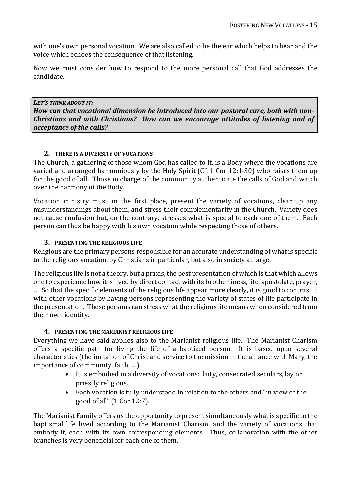with one's own personal vocation. We are also called to be the ear which helps to hear and the voice which echoes the consequence of that listening.

Now we must consider how to respond to the more personal call that God addresses the candidate. 

*LET'S THINK ABOUT IT: How can that vocational dimension be introduced into our pastoral care, both with non‐ Christians and with Christians? How can we encourage attitudes of listening and of acceptance of the calls?*

#### **2. THERE IS A DIVERSITY OF VOCATIONS**

The Church, a gathering of those whom God has called to it, is a Body where the vocations are varied and arranged harmoniously by the Holy Spirit  $(Cf. 1 Cor 12:1-30)$  who raises them up for the good of all. Those in charge of the community authenticate the calls of God and watch over the harmony of the Body.

Vocation ministry must, in the first place, present the variety of vocations, clear up any misunderstandings about them, and stress their complementarity in the Church. Variety does not cause confusion but, on the contrary, stresses what is special to each one of them. Each person can thus be happy with his own vocation while respecting those of others.

#### **3. PRESENTING THE RELIGIOUS LIFE**

Religious are the primary persons responsible for an accurate understanding of what is specific to the religious vocation, by Christians in particular, but also in society at large.

The religious life is not a theory, but a praxis, the best presentation of which is that which allows one to experience how it is lived by direct contact with its brotherliness, life, apostolate, prayer, ... So that the specific elements of the religious life appear more clearly, it is good to contrast it with other vocations by having persons representing the variety of states of life participate in the presentation. These persons can stress what the religious life means when considered from their own identity.

#### **4. PRESENTING THE MARIANIST RELIGIOUS LIFE**

Everything we have said applies also to the Marianist religious life. The Marianist Charism offers a specific path for living the life of a baptized person. It is based upon several characteristics (the imitation of Christ and service to the mission in the alliance with Mary, the importance of community, faith, ...).

- It is embodied in a diversity of vocations: laity, consecrated seculars, lay or priestly religious.
- Each vocation is fully understood in relation to the others and "in view of the good of all"  $(1$  Cor  $12:7$ ).

The Marianist Family offers us the opportunity to present simultaneously what is specific to the baptismal life lived according to the Marianist Charism, and the variety of vocations that embody it, each with its own corresponding elements. Thus, collaboration with the other branches is very beneficial for each one of them.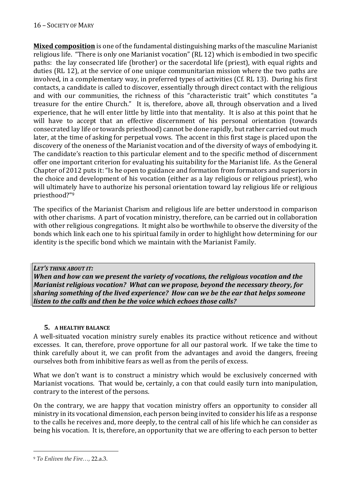**Mixed composition** is one of the fundamental distinguishing marks of the masculine Marianist religious life. "There is only one Marianist vocation" (RL 12) which is embodied in two specific paths: the lay consecrated life (brother) or the sacerdotal life (priest), with equal rights and duties (RL 12), at the service of one unique communitarian mission where the two paths are involved, in a complementary way, in preferred types of activities  $(Cf. RL 13)$ . During his first contacts, a candidate is called to discover, essentially through direct contact with the religious and with our communities, the richness of this "characteristic trait" which constitutes "a treasure for the entire Church." It is, therefore, above all, through observation and a lived experience, that he will enter little by little into that mentality. It is also at this point that he will have to accept that an effective discernment of his personal orientation (towards consecrated lay life or towards priesthood) cannot be done rapidly, but rather carried out much later, at the time of asking for perpetual vows. The accent in this first stage is placed upon the discovery of the oneness of the Marianist vocation and of the diversity of ways of embodying it. The candidate's reaction to this particular element and to the specific method of discernment offer one important criterion for evaluating his suitability for the Marianist life. As the General Chapter of 2012 puts it: "Is he open to guidance and formation from formators and superiors in the choice and development of his vocation (either as a lay religious or religious priest), who will ultimately have to authorize his personal orientation toward lay religious life or religious priesthood?"9

The specifics of the Marianist Charism and religious life are better understood in comparison with other charisms. A part of vocation ministry, therefore, can be carried out in collaboration with other religious congregations. It might also be worthwhile to observe the diversity of the bonds which link each one to his spiritual family in order to highlight how determining for our identity is the specific bond which we maintain with the Marianist Family.

#### *LET'S THINK ABOUT IT:*

*When and how can we present the variety of vocations, the religious vocation and the Marianist religious vocation? What can we propose, beyond the necessary theory, for sharing something of the lived experience? How can we be the ear that helps someone listen to the calls and then be the voice which echoes those calls?*

#### **5. A HEALTHY BALANCE**

A well-situated vocation ministry surely enables its practice without reticence and without excesses. It can, therefore, prove opportune for all our pastoral work. If we take the time to think carefully about it, we can profit from the advantages and avoid the dangers, freeing ourselves both from inhibitive fears as well as from the perils of excess.

What we don't want is to construct a ministry which would be exclusively concerned with Marianist vocations. That would be, certainly, a con that could easily turn into manipulation, contrary to the interest of the persons.

On the contrary, we are happy that vocation ministry offers an opportunity to consider all ministry in its vocational dimension, each person being invited to consider his life as a response to the calls he receives and, more deeply, to the central call of his life which he can consider as being his vocation. It is, therefore, an opportunity that we are offering to each person to better

<u> 1989 - Johann Barn, mars ar breithinn ar chuid ann an t-</u>

<sup>9</sup> *To Enliven the Fire…,* 22.a.3.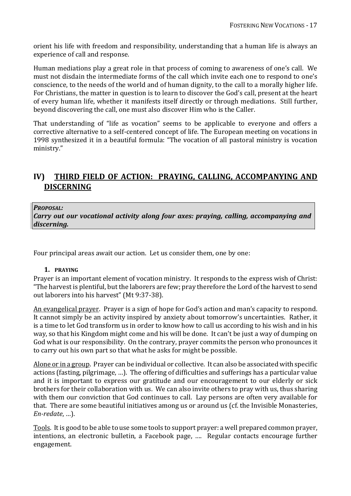orient his life with freedom and responsibility, understanding that a human life is always an experience of call and response.

Human mediations play a great role in that process of coming to awareness of one's call. We must not disdain the intermediate forms of the call which invite each one to respond to one's conscience, to the needs of the world and of human dignity, to the call to a morally higher life. For Christians, the matter in question is to learn to discover the God's call, present at the heart of every human life, whether it manifests itself directly or through mediations. Still further, beyond discovering the call, one must also discover Him who is the Caller.

That understanding of "life as vocation" seems to be applicable to everyone and offers a corrective alternative to a self-centered concept of life. The European meeting on vocations in 1998 synthesized it in a beautiful formula: "The vocation of all pastoral ministry is vocation ministry." 

## **IV) THIRD FIELD OF ACTION: PRAYING, CALLING, ACCOMPANYING AND DISCERNING**

*PROPOSAL:*

*Carry out our vocational activity along four axes: praying, calling, accompanying and discerning.*

Four principal areas await our action. Let us consider them, one by one:

#### **1. PRAYING**

Prayer is an important element of vocation ministry. It responds to the express wish of Christ: "The harvest is plentiful, but the laborers are few; pray therefore the Lord of the harvest to send out laborers into his harvest" (Mt 9:37-38).

An evangelical prayer. Prayer is a sign of hope for God's action and man's capacity to respond. It cannot simply be an activity inspired by anxiety about tomorrow's uncertainties. Rather, it is a time to let God transform us in order to know how to call us according to his wish and in his way, so that his Kingdom might come and his will be done. It can't be just a way of dumping on God what is our responsibility. On the contrary, prayer commits the person who pronounces it to carry out his own part so that what he asks for might be possible.

Alone or in a group. Prayer can be individual or collective. It can also be associated with specific actions (fasting, pilgrimage, ...). The offering of difficulties and sufferings has a particular value and it is important to express our gratitude and our encouragement to our elderly or sick brothers for their collaboration with us. We can also invite others to pray with us, thus sharing with them our conviction that God continues to call. Lay persons are often very available for that. There are some beautiful initiatives among us or around us (cf. the Invisible Monasteries, *En‐redate*, …). 

Tools. It is good to be able to use some tools to support prayer: a well prepared common prayer, intentions, an electronic bulletin, a Facebook page, ..., Regular contacts encourage further engagement.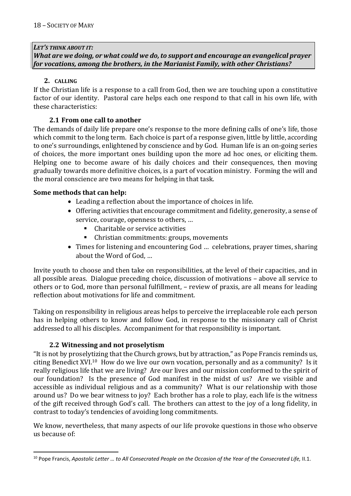#### *LET'S THINK ABOUT IT:*

#### *What are we doing, or what could we do,to support and encourage an evangelical prayer for vocations, among the brothers, in the Marianist Family, with other Christians?*

#### **2. CALLING**

If the Christian life is a response to a call from God, then we are touching upon a constitutive factor of our identity. Pastoral care helps each one respond to that call in his own life, with these characteristics: 

#### **2.1 From one call to another**

The demands of daily life prepare one's response to the more defining calls of one's life, those which commit to the long term. Each choice is part of a response given, little by little, according to one's surroundings, enlightened by conscience and by God. Human life is an on-going series of choices, the more important ones building upon the more ad hoc ones, or eliciting them. Helping one to become aware of his daily choices and their consequences, then moving gradually towards more definitive choices, is a part of vocation ministry. Forming the will and the moral conscience are two means for helping in that task.

#### **Some methods that can help:**

- Leading a reflection about the importance of choices in life.
- Offering activities that encourage commitment and fidelity, generosity, a sense of service, courage, openness to others, ...
	- Charitable or service activities
	- Christian commitments: groups, movements
- Times for listening and encountering God ... celebrations, prayer times, sharing about the Word of God, ...

Invite youth to choose and then take on responsibilities, at the level of their capacities, and in all possible areas. Dialogue preceding choice, discussion of motivations – above all service to others or to God, more than personal fulfillment, – review of praxis, are all means for leading reflection about motivations for life and commitment.

Taking on responsibility in religious areas helps to perceive the irreplaceable role each person has in helping others to know and follow God, in response to the missionary call of Christ addressed to all his disciples. Accompaniment for that responsibility is important.

#### **2.2 Witnessing and not proselytism**

<u> 1989 - Johann Barn, mars eta bainar eta politikaria (h. 1989).</u>

"It is not by proselytizing that the Church grows, but by attraction," as Pope Francis reminds us, citing Benedict XVI.<sup>10</sup> How do we live our own vocation, personally and as a community? Is it really religious life that we are living? Are our lives and our mission conformed to the spirit of our foundation? Is the presence of God manifest in the midst of us? Are we visible and accessible as individual religious and as a community? What is our relationship with those around us? Do we bear witness to joy? Each brother has a role to play, each life is the witness of the gift received through God's call. The brothers can attest to the joy of a long fidelity, in contrast to today's tendencies of avoiding long commitments.

We know, nevertheless, that many aspects of our life provoke questions in those who observe us because of:

<sup>&</sup>lt;sup>10</sup> Pope Francis, Apostolic Letter ... to All Consecrated People on the Occasion of the Year of the Consecrated Life, II.1.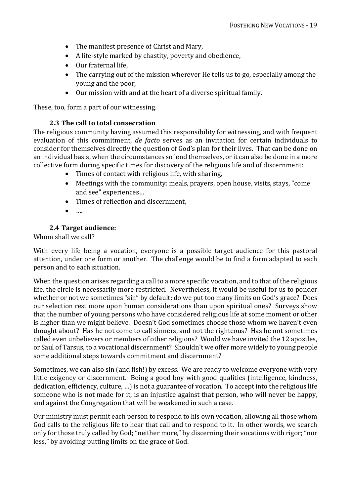- The manifest presence of Christ and Mary,
- A life-style marked by chastity, poverty and obedience,
- Our fraternal life,
- The carrying out of the mission wherever He tells us to go, especially among the young and the poor,
- Our mission with and at the heart of a diverse spiritual family.

These, too, form a part of our witnessing.

#### **2.3 The call to total consecration**

The religious community having assumed this responsibility for witnessing, and with frequent evaluation of this commitment, *de facto* serves as an invitation for certain individuals to consider for themselves directly the question of God's plan for their lives. That can be done on an individual basis, when the circumstances so lend themselves, or it can also be done in a more collective form during specific times for discovery of the religious life and of discernment:

- Times of contact with religious life, with sharing,
- Meetings with the community: meals, prayers, open house, visits, stays, "come and see" experiences…
- Times of reflection and discernment,
- ….

#### **2.4 Target audience:**

#### Whom shall we call?

With every life being a vocation, everyone is a possible target audience for this pastoral attention, under one form or another. The challenge would be to find a form adapted to each person and to each situation.

When the question arises regarding a call to a more specific vocation, and to that of the religious life, the circle is necessarily more restricted. Nevertheless, it would be useful for us to ponder whether or not we sometimes "sin" by default: do we put too many limits on God's grace? Does our selection rest more upon human considerations than upon spiritual ones? Surveys show that the number of young persons who have considered religious life at some moment or other is higher than we might believe. Doesn't God sometimes choose those whom we haven't even thought about? Has he not come to call sinners, and not the righteous? Has he not sometimes called even unbelievers or members of other religions? Would we have invited the 12 apostles, or Saul of Tarsus, to a vocational discernment? Shouldn't we offer more widely to young people some additional steps towards commitment and discernment?

Sometimes, we can also sin (and fish!) by excess. We are ready to welcome everyone with very little exigency or discernment. Being a good boy with good qualities (intelligence, kindness, dedication, efficiency, culture, ...) is not a guarantee of vocation. To accept into the religious life someone who is not made for it, is an injustice against that person, who will never be happy, and against the Congregation that will be weakened in such a case.

Our ministry must permit each person to respond to his own vocation, allowing all those whom God calls to the religious life to hear that call and to respond to it. In other words, we search only for those truly called by God; "neither more," by discerning their vocations with rigor; "nor less," by avoiding putting limits on the grace of God.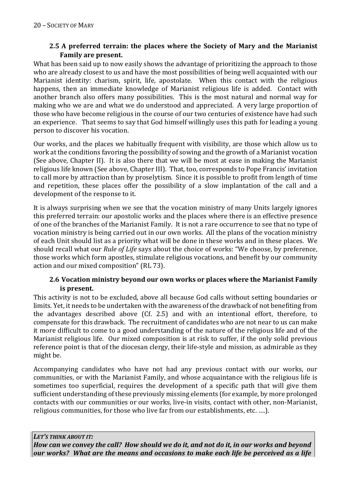#### **2.5 A preferred terrain: the places where the Society of Mary and the Marianist Family are present.**

What has been said up to now easily shows the advantage of prioritizing the approach to those who are already closest to us and have the most possibilities of being well acquainted with our Marianist identity: charism, spirit, life, apostolate. When this contact with the religious happens, then an immediate knowledge of Marianist religious life is added. Contact with another branch also offers many possibilities. This is the most natural and normal way for making who we are and what we do understood and appreciated. A very large proportion of those who have become religious in the course of our two centuries of existence have had such an experience. That seems to say that God himself willingly uses this path for leading a young person to discover his vocation.

Our works, and the places we habitually frequent with visibility, are those which allow us to work at the conditions favoring the possibility of sowing and the growth of a Marianist vocation (See above, Chapter II). It is also there that we will be most at ease in making the Marianist religious life known (See above, Chapter III). That, too, corresponds to Pope Francis' invitation to call more by attraction than by proselytism. Since it is possible to profit from length of time and repetition, these places offer the possibility of a slow implantation of the call and a development of the response to it.

It is always surprising when we see that the vocation ministry of many Units largely ignores this preferred terrain: our apostolic works and the places where there is an effective presence of one of the branches of the Marianist Family. It is not a rare occurrence to see that no type of vocation ministry is being carried out in our own works. All the plans of the vocation ministry of each Unit should list as a priority what will be done in these works and in these places. We should recall what our *Rule of Life* says about the choice of works: "We choose, by preference, those works which form apostles, stimulate religious vocations, and benefit by our community action and our mixed composition" (RL 73).

#### **2.6 Vocation ministry beyond our own works or places where the Marianist Family is** present.

This activity is not to be excluded, above all because God calls without setting boundaries or limits. Yet, it needs to be undertaken with the awareness of the drawback of not benefiting from the advantages described above  $(Cf. 2.5)$  and with an intentional effort, therefore, to compensate for this drawback. The recruitment of candidates who are not near to us can make it more difficult to come to a good understanding of the nature of the religious life and of the Marianist religious life. Our mixed composition is at risk to suffer, if the only solid previous reference point is that of the diocesan clergy, their life-style and mission, as admirable as they might be.

Accompanying candidates who have not had any previous contact with our works, our communities, or with the Marianist Family, and whose acquaintance with the religious life is sometimes too superficial, requires the development of a specific path that will give them sufficient understanding of these previously missing elements (for example, by more prolonged contacts with our communities or our works, live-in visits, contact with other, non-Marianist, religious communities, for those who live far from our establishments, etc. ....).

*LET'S THINK ABOUT IT:*

 $|$ How can we convey the call? How should we do it, and not do it, in our works and beyond *our works? What are the means and occasions to make each life be perceived as a life*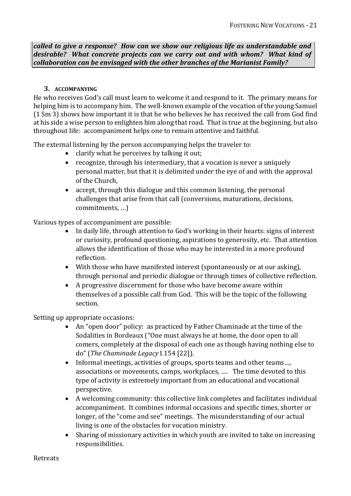*called to give a response? How can we show our religious life as understandable and desirable? What concrete projects can we carry out and with whom? What kind of collaboration can be envisaged with the other branches of the Marianist Family?*

#### **3. ACCOMPANYING**

He who receives God's call must learn to welcome it and respond to it. The primary means for helping him is to accompany him. The well-known example of the vocation of the young Samuel (1 Sm 3) shows how important it is that he who believes he has received the call from God find at his side a wise person to enlighten him along that road. That is true at the beginning, but also throughout life: accompaniment helps one to remain attentive and faithful.

The external listening by the person accompanying helps the traveler to:

- clarify what he perceives by talking it out:
- recognize, through his intermediary, that a vocation is never a uniquely personal matter, but that it is delimited under the eye of and with the approval of the Church,
- accept, through this dialogue and this common listening, the personal challenges that arise from that call (conversions, maturations, decisions, commitments, ...)

Various types of accompaniment are possible:

- In daily life, through attention to God's working in their hearts: signs of interest or curiosity, profound questioning, aspirations to generosity, etc. That attention allows the identification of those who may be interested in a more profound reflection.
- With those who have manifested interest (spontaneously or at our asking), through personal and periodic dialogue or through times of collective reflection.
- A progressive discernment for those who have become aware within themselves of a possible call from God. This will be the topic of the following section.

Setting up appropriate occasions:

- An "open door" policy: as practiced by Father Chaminade at the time of the Sodalities in Bordeaux ("One must always be at home, the door open to all comers, completely at the disposal of each one as though having nothing else to do" (*The Chaminade Legacy* I.154 [22]).
- Informal meetings, activities of groups, sports teams and other teams..., associations or movements, camps, workplaces, .... The time devoted to this type of activity is extremely important from an educational and vocational perspective.
- A welcoming community: this collective link completes and facilitates individual accompaniment. It combines informal occasions and specific times, shorter or longer, of the "come and see" meetings. The misunderstanding of our actual living is one of the obstacles for vocation ministry.
- Sharing of missionary activities in which youth are invited to take on increasing responsibilities.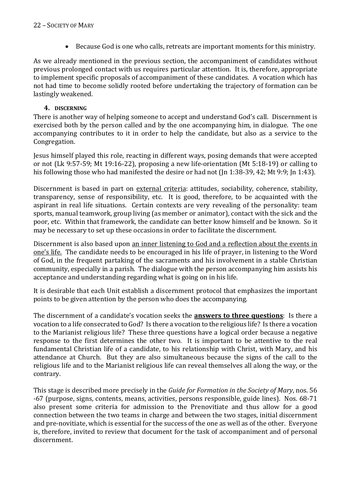• Because God is one who calls, retreats are important moments for this ministry.

As we already mentioned in the previous section, the accompaniment of candidates without previous prolonged contact with us requires particular attention. It is, therefore, appropriate to implement specific proposals of accompaniment of these candidates. A vocation which has not had time to become solidly rooted before undertaking the trajectory of formation can be lastingly weakened.

#### **4. DISCERNING**

There is another way of helping someone to accept and understand God's call. Discernment is exercised both by the person called and by the one accompanying him, in dialogue. The one accompanying contributes to it in order to help the candidate, but also as a service to the Congregation. 

Jesus himself played this role, reacting in different ways, posing demands that were accepted or not (Lk 9:57-59; Mt 19:16-22), proposing a new life-orientation (Mt 5:18-19) or calling to his following those who had manifested the desire or had not (In 1:38-39, 42; Mt 9:9; In 1:43).

Discernment is based in part on external criteria: attitudes, sociability, coherence, stability, transparency, sense of responsibility, etc. It is good, therefore, to be acquainted with the aspirant in real life situations. Certain contexts are very revealing of the personality: team sports, manual teamwork, group living (as member or animator), contact with the sick and the poor, etc. Within that framework, the candidate can better know himself and be known. So it may be necessary to set up these occasions in order to facilitate the discernment.

Discernment is also based upon an inner listening to God and a reflection about the events in one's life. The candidate needs to be encouraged in his life of prayer, in listening to the Word of God, in the frequent partaking of the sacraments and his involvement in a stable Christian community, especially in a parish. The dialogue with the person accompanying him assists his acceptance and understanding regarding what is going on in his life.

It is desirable that each Unit establish a discernment protocol that emphasizes the important points to be given attention by the person who does the accompanying.

The discernment of a candidate's vocation seeks the **answers to three questions**: Is there a vocation to a life consecrated to God? Is there a vocation to the religious life? Is there a vocation to the Marianist religious life? These three questions have a logical order because a negative response to the first determines the other two. It is important to be attentive to the real fundamental Christian life of a candidate, to his relationship with Christ, with Mary, and his attendance at Church. But they are also simultaneous because the signs of the call to the religious life and to the Marianist religious life can reveal themselves all along the way, or the contrary. 

This stage is described more precisely in the *Guide for Formation in the Society of Mary*, nos. 56 -67 (purpose, signs, contents, means, activities, persons responsible, guide lines). Nos. 68-71 also present some criteria for admission to the Prenovitiate and thus allow for a good connection between the two teams in charge and between the two stages, initial discernment and pre-novitiate, which is essential for the success of the one as well as of the other. Everyone is, therefore, invited to review that document for the task of accompaniment and of personal discernment.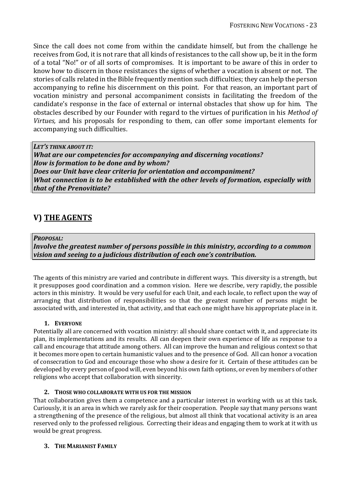Since the call does not come from within the candidate himself, but from the challenge he receives from God, it is not rare that all kinds of resistances to the call show up, be it in the form of a total "No!" or of all sorts of compromises. It is important to be aware of this in order to know how to discern in those resistances the signs of whether a vocation is absent or not. The stories of calls related in the Bible frequently mention such difficulties; they can help the person accompanying to refine his discernment on this point. For that reason, an important part of vocation ministry and personal accompaniment consists in facilitating the freedom of the candidate's response in the face of external or internal obstacles that show up for him. The obstacles described by our Founder with regard to the virtues of purification in his Method of *Virtues*, and his proposals for responding to them, can offer some important elements for accompanying such difficulties.

*LET'S THINK ABOUT IT: What are our competencies for accompanying and discerning vocations? How is formation to be done and by whom? Does our Unit have clear criteria for orientation and accompaniment? What connection is to be established with the other levels of formation, especially with that of the Prenovitiate?*

## **V) THE AGENTS**

#### *PROPOSAL:*

*Involve the greatest number of persons possible in this ministry, according to a common vision and seeing to a judicious distribution of each one's contribution.*

The agents of this ministry are varied and contribute in different ways. This diversity is a strength, but it presupposes good coordination and a common vision. Here we describe, very rapidly, the possible actors in this ministry. It would be very useful for each Unit, and each locale, to reflect upon the way of arranging that distribution of responsibilities so that the greatest number of persons might be associated with, and interested in, that activity, and that each one might have his appropriate place in it.

#### **1. EVERYONE**

Potentially all are concerned with vocation ministry: all should share contact with it, and appreciate its plan, its implementations and its results. All can deepen their own experience of life as response to a call and encourage that attitude among others. All can improve the human and religious context so that it becomes more open to certain humanistic values and to the presence of God. All can honor a vocation of consecration to God and encourage those who show a desire for it. Certain of these attitudes can be developed by every person of good will, even beyond his own faith options, or even by members of other religions who accept that collaboration with sincerity.

#### **2. THOSE WHO COLLABORATE WITH US FOR THE MISSION**

That collaboration gives them a competence and a particular interest in working with us at this task. Curiously, it is an area in which we rarely ask for their cooperation. People say that many persons want a strengthening of the presence of the religious, but almost all think that vocational activity is an area reserved only to the professed religious. Correcting their ideas and engaging them to work at it with us would be great progress.

#### **3. THE MARIANIST FAMILY**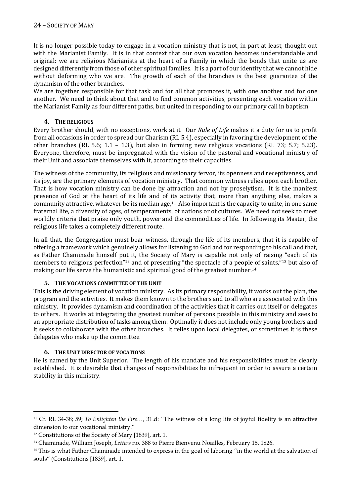It is no longer possible today to engage in a vocation ministry that is not, in part at least, thought out with the Marianist Family. It is in that context that our own vocation becomes understandable and original: we are religious Marianists at the heart of a Family in which the bonds that unite us are designed differently from those of other spiritual families. It is a part of our identity that we cannot hide without deforming who we are. The growth of each of the branches is the best guarantee of the dynamism of the other branches.

We are together responsible for that task and for all that promotes it, with one another and for one another. We need to think about that and to find common activities, presenting each vocation within the Marianist Family as four different paths, but united in responding to our primary call in baptism.

#### **4. THE RELIGIOUS**

Every brother should, with no exceptions, work at it. Our *Rule of Life* makes it a duty for us to profit from all occasions in order to spread our Charism (RL 5.4), especially in favoring the development of the other branches (RL 5.6;  $1.1 - 1.3$ ), but also in forming new religious vocations (RL 73; 5.7; 5.23). Everyone, therefore, must be impregnated with the vision of the pastoral and vocational ministry of their Unit and associate themselves with it, according to their capacities.

The witness of the community, its religious and missionary fervor, its openness and receptiveness, and its joy, are the primary elements of vocation ministry. That common witness relies upon each brother. That is how vocation ministry can be done by attraction and not by proselytism. It is the manifest presence of God at the heart of its life and of its activity that, more than anything else, makes a community attractive, whatever be its median age,<sup>11</sup> Also important is the capacity to unite, in one same fraternal life, a diversity of ages, of temperaments, of nations or of cultures. We need not seek to meet worldly criteria that praise only youth, power and the commodities of life. In following its Master, the religious life takes a completely different route.

In all that, the Congregation must bear witness, through the life of its members, that it is capable of offering a framework which genuinely allows for listening to God and for responding to his call and that, as Father Chaminade himself put it, the Society of Mary is capable not only of raising "each of its members to religious perfection"<sup>12</sup> and of presenting "the spectacle of a people of saints,"<sup>13</sup> but also of making our life serve the humanistic and spiritual good of the greatest number.<sup>14</sup>

#### **5. THE VOCATIONS COMMITTEE OF THE UNIT**

This is the driving element of vocation ministry. As its primary responsibility, it works out the plan, the program and the activities. It makes them known to the brothers and to all who are associated with this ministry. It provides dynamism and coordination of the activities that it carries out itself or delegates to others. It works at integrating the greatest number of persons possible in this ministry and sees to an appropriate distribution of tasks among them. Optimally it does not include only young brothers and it seeks to collaborate with the other branches. It relies upon local delegates, or sometimes it is these delegates who make up the committee.

#### **6. THE UNIT DIRECTOR OF VOCATIONS**

He is named by the Unit Superior. The length of his mandate and his responsibilities must be clearly established. It is desirable that changes of responsibilities be infrequent in order to assure a certain stability in this ministry.

<u> 1989 - Johann Barn, mars ar breithinn ar chuid ann an t-</u>

<sup>11</sup> Cf. RL 34‐38; 59; *To Enlighten the Fire…*, 31.d: "The witness of a long life of joyful fidelity is an attractive dimension to our vocational ministry."

<sup>12</sup> Constitutions of the Society of Mary [1839], art. 1.

<sup>13</sup> Chaminade, William Joseph, *Letters* no. 388 to Pierre Bienvenu Noailles, February 15, 1826.

<sup>&</sup>lt;sup>14</sup> This is what Father Chaminade intended to express in the goal of laboring "in the world at the salvation of souls" (Constitutions [1839], art. 1.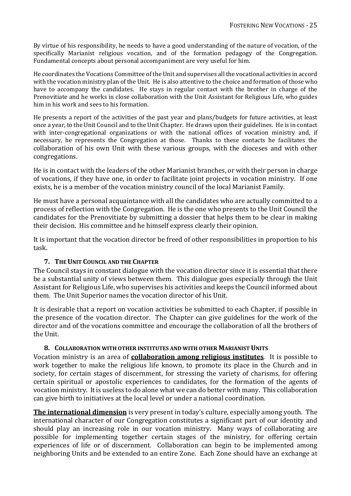By virtue of his responsibility, he needs to have a good understanding of the nature of vocation, of the specifically Marianist religious vocation, and of the formation pedagogy of the Congregation. Fundamental concepts about personal accompaniment are very useful for him.

He coordinates the Vocations Committee of the Unit and supervises all the vocational activities in accord with the vocation ministry plan of the Unit. He is also attentive to the choice and formation of those who have to accompany the candidates. He stays in regular contact with the brother in charge of the Prenovitiate and he works in close collaboration with the Unit Assistant for Religious Life, who guides him in his work and sees to his formation.

He presents a report of the activities of the past year and plans/budgets for future activities, at least once a year, to the Unit Council and to the Unit Chapter. He draws upon their guidelines. He is in contact with inter-congregational organizations or with the national offices of vocation ministry and, if necessary, he represents the Congregation at those. Thanks to these contacts he facilitates the collaboration of his own Unit with these various groups, with the dioceses and with other congregations. 

He is in contact with the leaders of the other Marianist branches, or with their person in charge of vocations, if they have one, in order to facilitate joint projects in vocation ministry. If one exists, he is a member of the vocation ministry council of the local Marianist Family.

He must have a personal acquaintance with all the candidates who are actually committed to a process of reflection with the Congregation. He is the one who presents to the Unit Council the candidates for the Prenovitiate by submitting a dossier that helps them to be clear in making their decision. His committee and he himself express clearly their opinion.

It is important that the vocation director be freed of other responsibilities in proportion to his task. 

#### **7. THE UNIT COUNCIL AND THE CHAPTER**

The Council stays in constant dialogue with the vocation director since it is essential that there be a substantial unity of views between them. This dialogue goes especially through the Unit Assistant for Religious Life, who supervises his activities and keeps the Council informed about them. The Unit Superior names the vocation director of his Unit.

It is desirable that a report on vocation activities be submitted to each Chapter, if possible in the presence of the vocation director. The Chapter can give guidelines for the work of the director and of the vocations committee and encourage the collaboration of all the brothers of the Unit.

#### **8. COLLABORATION WITH OTHER INSTITUTES AND WITH OTHER MARIANIST UNITS**

Vocation ministry is an area of **collaboration among religious institutes**. It is possible to work together to make the religious life known, to promote its place in the Church and in society, for certain stages of discernment, for stressing the variety of charisms, for offering certain spiritual or apostolic experiences to candidates, for the formation of the agents of vocation ministry. It is useless to do alone what we can do better with many. This collaboration can give birth to initiatives at the local level or under a national coordination.

**The international dimension** is very present in today's culture, especially among youth. The international character of our Congregation constitutes a significant part of our identity and should play an increasing role in our vocation ministry. Many ways of collaborating are possible for implementing together certain stages of the ministry, for offering certain experiences of life or of discernment. Collaboration can begin to be implemented among neighboring Units and be extended to an entire Zone. Each Zone should have an exchange at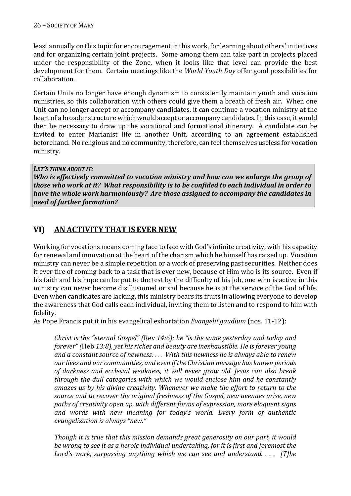least annually on this topic for encouragement in this work, for learning about others' initiatives and for organizing certain joint projects. Some among them can take part in projects placed under the responsibility of the Zone, when it looks like that level can provide the best development for them. Certain meetings like the *World Youth Day* offer good possibilities for collaboration. 

Certain Units no longer have enough dynamism to consistently maintain youth and vocation ministries, so this collaboration with others could give them a breath of fresh air. When one Unit can no longer accept or accompany candidates, it can continue a vocation ministry at the heart of a broader structure which would accept or accompany candidates. In this case, it would then be necessary to draw up the vocational and formational itinerary. A candidate can be invited to enter Marianist life in another Unit, according to an agreement established beforehand. No religious and no community, therefore, can feel themselves useless for vocation ministry. 

#### *LET'S THINK ABOUT IT:*

*Who is effectively committed to vocation ministry and how can we enlarge the group of those who work at it? What responsibility is to be confided to each individual in order to have the whole work harmoniously? Are those assigned to accompany the candidates in need of further formation?*

## **VI) AN ACTIVITY THAT IS EVER NEW**

Working for vocations means coming face to face with God's infinite creativity, with his capacity for renewal and innovation at the heart of the charism which he himself has raised up. Vocation ministry can never be a simple repetition or a work of preserving past securities. Neither does it ever tire of coming back to a task that is ever new, because of Him who is its source. Even if his faith and his hope can be put to the test by the difficulty of his job, one who is active in this ministry can never become disillusioned or sad because he is at the service of the God of life. Even when candidates are lacking, this ministry bears its fruits in allowing everyone to develop the awareness that God calls each individual, inviting them to listen and to respond to him with fidelity. 

As Pope Francis put it in his evangelical exhortation *Evangelii gaudium* (nos. 11-12):

*Christ is the "eternal Gospel" (*Rev *14:6); he "is the same yesterday and today and forever" (*Heb *13:8), yet his riches and beauty are inexhaustible. He is forever young and a constant source of newness. . . . With this newness he is always able to renew our lives and our communities, and even if the Christian message has known periods of darkness and ecclesial weakness, it will never grow old. Jesus can also break through the dull categories with which we would enclose him and he constantly amazes us by his divine creativity. Whenever we make the effort to return to the source and to recover the original freshness of the Gospel, new avenues arise, new paths of creativity open up, with different forms of expression, more eloquent signs and words with new meaning for today's world. Every form of authentic evangelization is always "new."*

*Though it is true that this mission demands great generosity on our part, it would be wrong to see it as a heroic individual undertaking, for it is first and foremost the Lord's work, surpassing anything which we can see and understand. . . . [T]he*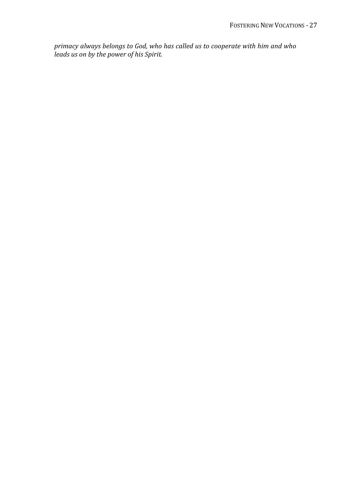*primacy always belongs to God, who has called us to cooperate with him and who leads us on by the power of his Spirit.*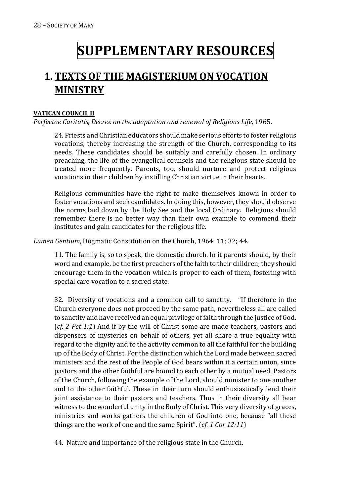## **SUPPLEMENTARY RESOURCES**

## **1. TEXTS OF THE MAGISTERIUM ON VOCATION MINISTRY**

#### **VATICAN COUNCIL II**

*Perfectae Caritatis, Decree on the adaptation and renewal of Religious Life,* 1965. 

24. Priests and Christian educators should make serious efforts to foster religious vocations, thereby increasing the strength of the Church, corresponding to its needs. These candidates should be suitably and carefully chosen. In ordinary preaching, the life of the evangelical counsels and the religious state should be treated more frequently. Parents, too, should nurture and protect religious vocations in their children by instilling Christian virtue in their hearts.

Religious communities have the right to make themselves known in order to foster vocations and seek candidates. In doing this, however, they should observe the norms laid down by the Holy See and the local Ordinary. Religious should remember there is no better way than their own example to commend their institutes and gain candidates for the religious life.

*Lumen Gentium, Dogmatic Constitution on the Church, 1964: 11; 32; 44.* 

11. The family is, so to speak, the domestic church. In it parents should, by their word and example, be the first preachers of the faith to their children; they should encourage them in the vocation which is proper to each of them, fostering with special care vocation to a sacred state.

32. Diversity of vocations and a common call to sanctity. "If therefore in the Church everyone does not proceed by the same path, nevertheless all are called to sanctity and have received an equal privilege of faith through the justice of God. (*cf.* 2 Pet 1:1) And if by the will of Christ some are made teachers, pastors and dispensers of mysteries on behalf of others, yet all share a true equality with regard to the dignity and to the activity common to all the faithful for the building up of the Body of Christ. For the distinction which the Lord made between sacred ministers and the rest of the People of God bears within it a certain union, since pastors and the other faithful are bound to each other by a mutual need. Pastors of the Church, following the example of the Lord, should minister to one another and to the other faithful. These in their turn should enthusiastically lend their joint assistance to their pastors and teachers. Thus in their diversity all bear witness to the wonderful unity in the Body of Christ. This very diversity of graces, ministries and works gathers the children of God into one, because "all these things are the work of one and the same Spirit". (*cf.* 1 *Cor* 12:11)

44. Nature and importance of the religious state in the Church.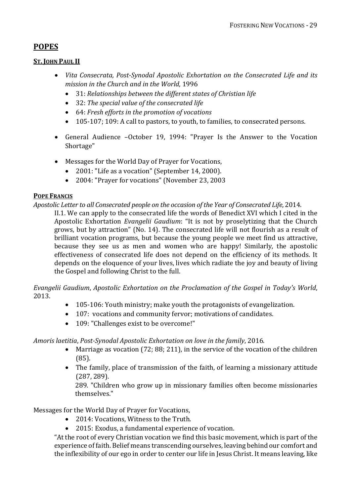## **POPES**

#### **ST. JOHN PAUL II**

- *Vita Consecrata, Post‐Synodal Apostolic Exhortation on the Consecrated Life and its mission in the Church and in the World*, 1996
	- 31: *Relationships between the different states of Christian life*
	- 32: *The special value of the consecrated life*
	- 64: *Fresh efforts in the promotion of vocations*
	- 105-107; 109: A call to pastors, to youth, to families, to consecrated persons.
- General Audience -October 19, 1994: "Prayer Is the Answer to the Vocation Shortage"
- Messages for the World Day of Prayer for Vocations,
	- $\bullet$  2001: "Life as a vocation" (September 14, 2000).
	- 2004: "Prayer for vocations" (November 23, 2003)

#### **POPE FRANCIS**

*Apostolic Letter to all Consecrated people on the occasion of the Year of Consecrated Life*, 2014.

II.1. We can apply to the consecrated life the words of Benedict XVI which I cited in the Apostolic Exhortation *Evangelii Gaudium*: "It is not by proselytizing that the Church grows, but by attraction" (No. 14). The consecrated life will not flourish as a result of brilliant vocation programs, but because the young people we meet find us attractive, because they see us as men and women who are happy! Similarly, the apostolic effectiveness of consecrated life does not depend on the efficiency of its methods. It depends on the eloquence of your lives, lives which radiate the joy and beauty of living the Gospel and following Christ to the full.

*Evangelii Gaudium*, *Apostolic Exhortation on the Proclamation of the Gospel in Today's World*, 2013. 

- 105-106: Youth ministry; make youth the protagonists of evangelization.
- 107: vocations and community fervor; motivations of candidates.
- 109: "Challenges exist to be overcome!"

*Amoris laetitia*, *Post‐Synodal Apostolic Exhortation on love in the family*, 2016. 

- Marriage as vocation (72; 88; 211), in the service of the vocation of the children (85).
- The family, place of transmission of the faith, of learning a missionary attitude  $(287, 289)$ .

289. "Children who grow up in missionary families often become missionaries themselves." 

Messages for the World Day of Prayer for Vocations,

- 2014: Vocations, Witness to the Truth.
- 2015: Exodus, a fundamental experience of vocation.

"At the root of every Christian vocation we find this basic movement, which is part of the experience of faith. Belief means transcending ourselves, leaving behind our comfort and the inflexibility of our ego in order to center our life in Jesus Christ. It means leaving, like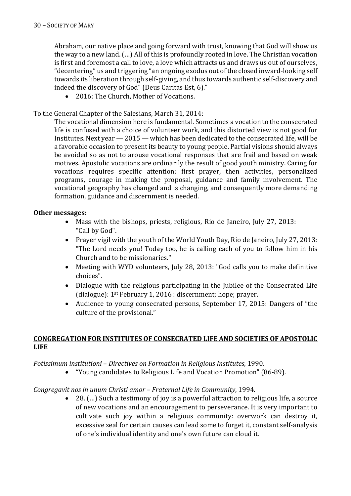Abraham, our native place and going forward with trust, knowing that God will show us the way to a new land.  $(...)$  All of this is profoundly rooted in love. The Christian vocation is first and foremost a call to love, a love which attracts us and draws us out of ourselves, "decentering" us and triggering "an ongoing exodus out of the closed inward-looking self towards its liberation through self-giving, and thus towards authentic self-discovery and indeed the discovery of God" (Deus Caritas Est, 6)."

• 2016: The Church, Mother of Vocations.

To the General Chapter of the Salesians, March 31, 2014:

The vocational dimension here is fundamental. Sometimes a vocation to the consecrated life is confused with a choice of volunteer work, and this distorted view is not good for Institutes. Next year  $-2015$  — which has been dedicated to the consecrated life, will be a favorable occasion to present its beauty to young people. Partial visions should always be avoided so as not to arouse vocational responses that are frail and based on weak motives. Apostolic vocations are ordinarily the result of good youth ministry. Caring for vocations requires specific attention: first prayer, then activities, personalized programs, courage in making the proposal, guidance and family involvement. The vocational geography has changed and is changing, and consequently more demanding formation, guidance and discernment is needed.

#### **Other messages:**

- Mass with the bishops, priests, religious, Rio de Janeiro, July 27, 2013: "Call by God".
- Prayer vigil with the youth of the World Youth Day, Rio de Janeiro, July 27, 2013: "The Lord needs you! Today too, he is calling each of you to follow him in his Church and to be missionaries."
- Meeting with WYD volunteers, July 28, 2013: "God calls you to make definitive choices".
- Dialogue with the religious participating in the Jubilee of the Consecrated Life (dialogue):  $1^{st}$  February 1, 2016 : discernment; hope; prayer.
- Audience to young consecrated persons, September 17, 2015: Dangers of "the culture of the provisional."

#### **CONGREGATION FOR INSTITUTES OF CONSECRATED LIFE AND SOCIETIES OF APOSTOLIC LIFE**

#### *Potissimum institutioni* – *Directives on Formation in Religious Institutes*, 1990.

■ "Young candidates to Religious Life and Vocation Promotion" (86-89).

#### *Congregavit nos in unum Christi amor – Fraternal Life in Community*, 1994.

• 28. (...) Such a testimony of joy is a powerful attraction to religious life, a source of new vocations and an encouragement to perseverance. It is very important to cultivate such joy within a religious community: overwork can destroy it, excessive zeal for certain causes can lead some to forget it, constant self-analysis of one's individual identity and one's own future can cloud it.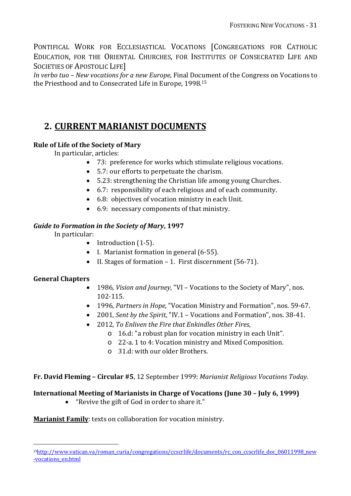PONTIFICAL WORK FOR ECCLESIASTICAL VOCATIONS [CONGREGATIONS FOR CATHOLIC EDUCATION, FOR THE ORIENTAL CHURCHES, FOR INSTITUTES OF CONSECRATED LIFE AND SOCIETIES OF APOSTOLIC LIFE]

*In verbo tuo – New vocations for a new Europe*, Final Document of the Congress on Vocations to the Priesthood and to Consecrated Life in Europe, 1998.<sup>15</sup>

## **2. CURRENT MARIANIST DOCUMENTS**

#### **Rule of Life of the Society of Mary**

In particular, articles:

- 73: preference for works which stimulate religious vocations.
- 5.7: our efforts to perpetuate the charism.
- $\bullet$  5.23: strengthening the Christian life among young Churches.
- 6.7: responsibility of each religious and of each community.
- 6.8: objectives of vocation ministry in each Unit.
- 6.9: necessary components of that ministry.

#### *Guide to Formation in the Society of Mary***, 1997**

In particular:

<u> 1989 - Johann Stein, marwolaethau a bh</u>

- Introduction  $(1-5)$ .
- I. Marianist formation in general (6-55).
- II. Stages of formation 1. First discernment (56-71).

#### **General Chapters**

- 1986, *Vision and Journey*, "VI Vocations to the Society of Mary", nos. 102‐115.
- 1996, *Partners in Hope*, "Vocation Ministry and Formation", nos. 59-67.
- 2001, *Sent by the Spirit*, "IV.1 Vocations and Formation", nos. 38-41.
- 2012, *To Enliven the Fire that Enkindles Other Fires*,
	- o 16.d: "a robust plan for vocation ministry in each Unit".
	- o 22‐a. 1 to 4: Vocation ministry and Mixed Composition.
	- o 31.d: with our older Brothers.

**Fr. David Fleming – Circular #5**, 12 September 1999: *Marianist Religious Vocations Today*. 

#### **International Meeting of Marianists in Charge of Vocations (June 30 – July 6, 1999)**

• "Revive the gift of God in order to share it."

**Marianist Family**: texts on collaboration for vocation ministry.

<sup>&</sup>lt;sup>15</sup>http://www.vatican.va/roman\_curia/congregations/ccscrlife/documents/rc\_con\_ccscrlife\_doc\_06011998\_new ‐vocations\_en.html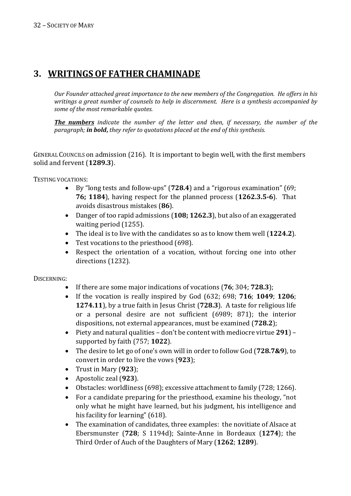## **3. WRITINGS OF FATHER CHAMINADE**

*Our Founder attached great importance to the new members of the Congregation. He offers in his writings a great number of counsels to help in discernment. Here is a synthesis accompanied by some of the most remarkable quotes.*

*The numbers indicate the number of the letter and then, if necessary, the number of the paragraph; in bold***,** *they refer to quotations placed at the end of this synthesis.* 

GENERAL COUNCILS on admission (216). It is important to begin well, with the first members solid and fervent (**1289.3**).

TESTING VOCATIONS:

- By "long tests and follow-ups"  $(728.4)$  and a "rigorous examination"  $(69;$ **76: 1184**), having respect for the planned process (1262.3.5<sup>–</sup>6). That avoids disastrous mistakes (**86**).
- Danger of too rapid admissions (108; 1262.3), but also of an exaggerated waiting period (1255).
- The ideal is to live with the candidates so as to know them well (1224.2).
- Test vocations to the priesthood  $(698)$ .
- Respect the orientation of a vocation, without forcing one into other directions (1232).

#### DISCERNING:

- If there are some major indications of vocations  $(76; 304; 728.3)$ ;
- $\bullet$  If the vocation is really inspired by God (632; 698; **716**; **1049**; **1206**; **1274.11**), by a true faith in Jesus Christ (728.3). A taste for religious life or a personal desire are not sufficient (6989; 871); the interior dispositions, not external appearances, must be examined (728.2);
- Piety and natural qualities don't be content with mediocre virtue 291) supported by faith (757; **1022**).
- The desire to let go of one's own will in order to follow God (728.7&9), to convert in order to live the vows (923);
- Trust in Mary (**923**);
- Apostolic zeal (923).
- Obstacles: worldliness  $(698)$ ; excessive attachment to family  $(728; 1266)$ .
- For a candidate preparing for the priesthood, examine his theology, "not only what he might have learned, but his judgment, his intelligence and his facility for learning" (618).
- The examination of candidates, three examples: the novitiate of Alsace at Ebersmunster (728; S 1194d); Sainte-Anne in Bordeaux (1274); the Third Order of Auch of the Daughters of Mary (1262; 1289).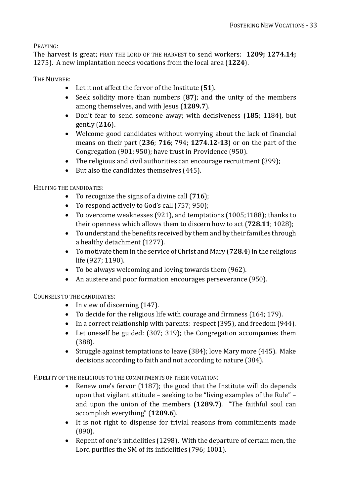PRAYING: 

The harvest is great: PRAY THE LORD OF THE HARVEST to send workers: **1209: 1274.14:** 1275). A new implantation needs vocations from the local area (1224).

THE NUMBER:

- Let it not affect the fervor of the Institute (51).
- Seek solidity more than numbers (87); and the unity of the members among themselves, and with Jesus (1289.7).
- Don't fear to send someone away; with decisiveness (185; 1184), but gently (**216**).
- Welcome good candidates without worrying about the lack of financial means on their part (236; 716; 794; 1274.12-13) or on the part of the Congregation  $(901; 950)$ ; have trust in Providence  $(950)$ .
- The religious and civil authorities can encourage recruitment (399);
- $\bullet$  But also the candidates themselves (445).

HELPING THE CANDIDATES:

- To recognize the signs of a divine call (716);
- To respond actively to God's call (757; 950);
- To overcome weaknesses  $(921)$ , and temptations  $(1005;1188)$ ; thanks to their openness which allows them to discern how to act (728.11; 1028);
- To understand the benefits received by them and by their families through a healthy detachment (1277).
- To motivate them in the service of Christ and Mary (728.4) in the religious life (927; 1190).
- To be always welcoming and loving towards them (962).
- An austere and poor formation encourages perseverance (950).

COUNSELS TO THE CANDIDATES:

- In view of discerning  $(147)$ .
- To decide for the religious life with courage and firmness  $(164; 179)$ .
- In a correct relationship with parents: respect  $(395)$ , and freedom  $(944)$ .
- Let oneself be guided:  $(307; 319)$ ; the Congregation accompanies them (388).
- Struggle against temptations to leave (384); love Mary more (445). Make decisions according to faith and not according to nature (384).

FIDELITY OF THE RELIGIOUS TO THE COMMITMENTS OF THEIR VOCATION:

- Renew one's fervor (1187); the good that the Institute will do depends upon that vigilant attitude – seeking to be "living examples of the Rule" – and upon the union of the members (1289.7). "The faithful soul can accomplish everything" (**1289.6**).
- It is not right to dispense for trivial reasons from commitments made (890).
- Repent of one's infidelities  $(1298)$ . With the departure of certain men, the Lord purifies the SM of its infidelities (796; 1001).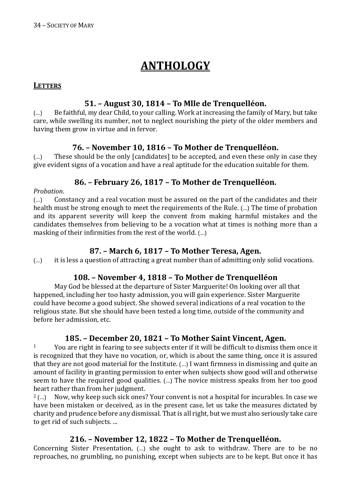## **ANTHOLOGY**

### **LETTERS**

### **51. – August 30, 1814 – To Mlle de Trenquelléon.**

(...) Be faithful, my dear Child, to your calling. Work at increasing the family of Mary, but take care, while swelling its number, not to neglect nourishing the piety of the older members and having them grow in virtue and in fervor.

#### **76. – November 10, 1816 – To Mother de Trenquelléon.**

(...) These should be the only [candidates] to be accepted, and even these only in case they give evident signs of a vocation and have a real aptitude for the education suitable for them.

## **86. – February 26, 1817 – To Mother de Trenquelléon.**

#### *Probation*.

(...) Constancy and a real vocation must be assured on the part of the candidates and their health must be strong enough to meet the requirements of the Rule. (...) The time of probation and its apparent severity will keep the convent from making harmful mistakes and the candidates themselves from believing to be a vocation what at times is nothing more than a masking of their infirmities from the rest of the world.  $(...)$ 

#### **87. – March 6, 1817 – To Mother Teresa, Agen.**

(...) it is less a question of attracting a great number than of admitting only solid vocations.

#### **108. – November 4, 1818 – To Mother de Trenquelléon**

May God be blessed at the departure of Sister Marguerite! On looking over all that happened, including her too hasty admission, you will gain experience. Sister Marguerite could have become a good subject. She showed several indications of a real vocation to the religious state. But she should have been tested a long time, outside of the community and before her admission, etc.

## **185. – December 20, 1821 – To Mother Saint Vincent, Agen.**

 $1$  You are right in fearing to see subjects enter if it will be difficult to dismiss them once it is recognized that they have no vocation, or, which is about the same thing, once it is assured that they are not good material for the Institute. (...) I want firmness in dismissing and quite an amount of facility in granting permission to enter when subjects show good will and otherwise seem to have the required good qualities. (...) The novice mistress speaks from her too good heart rather than from her judgment.

 $2$  (...) Now, why keep such sick ones? Your convent is not a hospital for incurables. In case we have been mistaken or deceived, as in the present case, let us take the measures dictated by charity and prudence before any dismissal. That is all right, but we must also seriously take care to get rid of such subjects. ...

## **216. – November 12, 1822 – To Mother de Trenquelléon.**

Concerning Sister Presentation,  $(\ldots)$  she ought to ask to withdraw. There are to be no reproaches, no grumbling, no punishing, except when subjects are to be kept. But once it has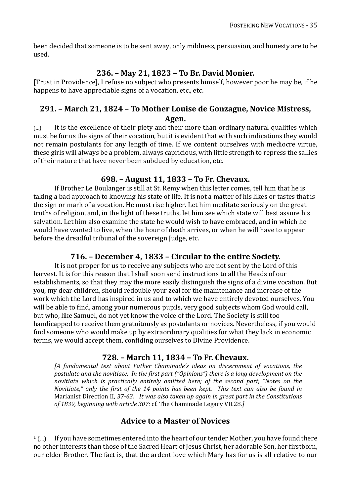been decided that someone is to be sent away, only mildness, persuasion, and honesty are to be used.

## **236. – May 21, 1823 – To Br. David Monier.**

[Trust in Providence], I refuse no subject who presents himself, however poor he may be, if he happens to have appreciable signs of a vocation, etc., etc.

### **291. – March 21, 1824 – To Mother Louise de Gonzague, Novice Mistress, Agen.**

 $(\ldots)$  It is the excellence of their piety and their more than ordinary natural qualities which must be for us the signs of their vocation, but it is evident that with such indications they would not remain postulants for any length of time. If we content ourselves with mediocre virtue, these girls will always be a problem, always capricious, with little strength to repress the sallies of their nature that have never been subdued by education, etc.

## **698. – August 11, 1833 – To Fr. Chevaux.**

If Brother Le Boulanger is still at St. Remy when this letter comes, tell him that he is taking a bad approach to knowing his state of life. It is not a matter of his likes or tastes that is the sign or mark of a vocation. He must rise higher. Let him meditate seriously on the great truths of religion, and, in the light of these truths, let him see which state will best assure his salvation. Let him also examine the state he would wish to have embraced, and in which he would have wanted to live, when the hour of death arrives, or when he will have to appear before the dreadful tribunal of the sovereign Judge, etc.

## **716. – December 4, 1833 – Circular to the entire Society.**

It is not proper for us to receive any subjects who are not sent by the Lord of this harvest. It is for this reason that I shall soon send instructions to all the Heads of our establishments, so that they may the more easily distinguish the signs of a divine vocation. But you, my dear children, should redouble your zeal for the maintenance and increase of the work which the Lord has inspired in us and to which we have entirely devoted ourselves. You will be able to find, among your numerous pupils, very good subjects whom God would call. but who, like Samuel, do not vet know the voice of the Lord. The Society is still too handicapped to receive them gratuitously as postulants or novices. Nevertheless, if you would find someone who would make up by extraordinary qualities for what they lack in economic terms, we would accept them, confiding ourselves to Divine Providence.

## **728. – March 11, 1834 – To Fr. Chevaux.**

*[A fundamental text about Father Chaminade's ideas on discernment of vocations, the postulate and the novitiate. In the first part ("Opinions") there is a long development on the novitiate which is practically entirely omitted here; of the second part, "Notes on the* Novitiate," only the first of the 14 points has been kept. This text can also be found in Marianist Direction II*, 37‐63. It was also taken up again in great part in the Constitutions of 1839, beginning with article 307:* cf*.* The Chaminade Legacy VII.28*.]* 

## **Advice to a Master of Novices**

 $1$  (...) If you have sometimes entered into the heart of our tender Mother, you have found there no other interests than those of the Sacred Heart of Jesus Christ, her adorable Son, her firstborn, our elder Brother. The fact is, that the ardent love which Mary has for us is all relative to our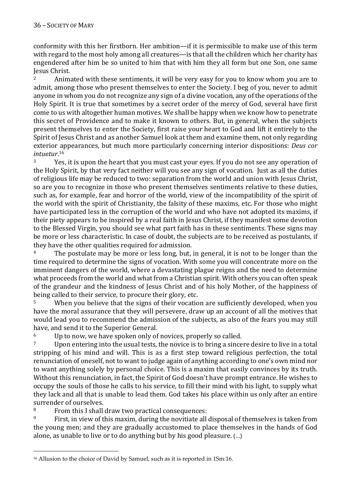conformity with this her firstborn. Her ambition—if it is permissible to make use of this term with regard to the most holy among all creatures—is that all the children which her charity has engendered after him be so united to him that with him they all form but one Son, one same Jesus Christ. 

<sup>2</sup> Animated with these sentiments, it will be very easy for you to know whom you are to admit, among those who present themselves to enter the Society. I beg of you, never to admit anyone in whom you do not recognize any sign of a divine yocation, any of the operations of the Holy Spirit. It is true that sometimes by a secret order of the mercy of God, several have first come to us with altogether human motives. We shall be happy when we know how to penetrate this secret of Providence and to make it known to others. But, in general, when the subjects present themselves to enter the Society, first raise your heart to God and lift it entirely to the Spirit of Jesus Christ and as another Samuel look at them and examine them, not only regarding exterior appearances, but much more particularly concerning interior dispositions: *Deus cor intuetur*. 16

<sup>3</sup> Yes, it is upon the heart that you must cast your eyes. If you do not see any operation of the Holy Spirit, by that very fact neither will you see any sign of vocation. Just as all the duties of religious life may be reduced to two: separation from the world and union with Jesus Christ, so are you to recognize in those who present themselves sentiments relative to these duties, such as, for example, fear and horror of the world, view of the incompatibility of the spirit of the world with the spirit of Christianity, the falsity of these maxims, etc. For those who might have participated less in the corruption of the world and who have not adopted its maxims, if their piety appears to be inspired by a real faith in Jesus Christ, if they manifest some devotion to the Blessed Virgin, you should see what part faith has in these sentiments. These signs may be more or less characteristic. In case of doubt, the subjects are to be received as postulants, if they have the other qualities required for admission.

<sup>4</sup> The postulate may be more or less long, but, in general, it is not to be longer than the time required to determine the signs of vocation. With some you will concentrate more on the imminent dangers of the world, where a devastating plague reigns and the need to determine what proceeds from the world and what from a Christian spirit. With others you can often speak of the grandeur and the kindness of Jesus Christ and of his holy Mother, of the happiness of being called to their service, to procure their glory, etc.

<sup>5</sup> When you believe that the signs of their vocation are sufficiently developed, when you have the moral assurance that they will persevere, draw up an account of all the motives that would lead you to recommend the admission of the subjects, as also of the fears you may still have, and send it to the Superior General.

 $6$  Up to now, we have spoken only of novices, properly so called.

<sup>7</sup> Upon entering into the usual tests, the novice is to bring a sincere desire to live in a total stripping of his mind and will. This is as a first step toward religious perfection, the total renunciation of oneself, not to want to judge again of anything according to one's own mind nor to want anything solely by personal choice. This is a maxim that easily convinces by its truth. Without this renunciation, in fact, the Spirit of God doesn't have prompt entrance. He wishes to occupy the souls of those he calls to his service, to fill their mind with his light, to supply what they lack and all that is unable to lead them. God takes his place within us only after an entire surrender of ourselves.

 $8$  From this I shall draw two practical consequences:

<u> 1989 - Johann Barn, mars ar breithinn ar chuid ann an t-</u>

 $9$  First, in view of this maxim, during the novitiate all disposal of themselves is taken from the young men; and they are gradually accustomed to place themselves in the hands of God alone, as unable to live or to do anything but by his good pleasure.  $(...)$ 

<sup>16</sup> Allusion to the choice of David by Samuel, such as it is reported in 1Sm:16.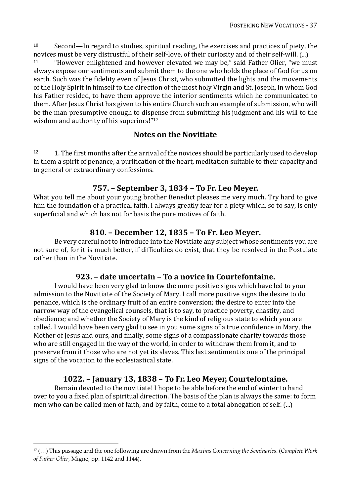<sup>10</sup> Second—In regard to studies, spiritual reading, the exercises and practices of piety, the novices must be very distrustful of their self-love, of their curiosity and of their self-will. (...)

<sup>11</sup> "However enlightened and however elevated we may be," said Father Olier, "we must always expose our sentiments and submit them to the one who holds the place of God for us on earth. Such was the fidelity even of Jesus Christ, who submitted the lights and the movements of the Holy Spirit in himself to the direction of the most holy Virgin and St. Joseph, in whom God his Father resided, to have them approve the interior sentiments which he communicated to them. After Jesus Christ has given to his entire Church such an example of submission, who will be the man presumptive enough to dispense from submitting his judgment and his will to the wisdom and authority of his superiors!"<sup>17</sup>

#### **Notes on the Novitiate**

 $12 \t11$ . The first months after the arrival of the novices should be particularly used to develop in them a spirit of penance, a purification of the heart, meditation suitable to their capacity and to general or extraordinary confessions.

#### **757. – September 3, 1834 – To Fr. Leo Meyer.**

What you tell me about your young brother Benedict pleases me very much. Try hard to give him the foundation of a practical faith. I always greatly fear for a piety which, so to say, is only superficial and which has not for basis the pure motives of faith.

#### **810. – December 12, 1835 – To Fr. Leo Meyer.**

Be very careful not to introduce into the Novitiate any subject whose sentiments you are not sure of, for it is much better, if difficulties do exist, that they be resolved in the Postulate rather than in the Novitiate.

#### **923. – date uncertain – To a novice in Courtefontaine.**

I would have been very glad to know the more positive signs which have led to your admission to the Novitiate of the Society of Mary. I call more positive signs the desire to do penance, which is the ordinary fruit of an entire conversion; the desire to enter into the narrow way of the evangelical counsels, that is to say, to practice poverty, chastity, and obedience; and whether the Society of Mary is the kind of religious state to which you are called. I would have been very glad to see in you some signs of a true confidence in Mary, the Mother of Jesus and ours, and finally, some signs of a compassionate charity towards those who are still engaged in the way of the world, in order to withdraw them from it, and to preserve from it those who are not yet its slaves. This last sentiment is one of the principal signs of the vocation to the ecclesiastical state.

## **1022. – January 13, 1838 – To Fr. Leo Meyer, Courtefontaine.**

Remain devoted to the novitiate! I hope to be able before the end of winter to hand over to you a fixed plan of spiritual direction. The basis of the plan is always the same: to form men who can be called men of faith, and by faith, come to a total abnegation of self. (...)

<u> 1989 - Johann Barn, mars ar breithinn ar chuid ann an t-</u>

<sup>17</sup> (…) This passage and the one following are drawn from the *Maxims Concerning the Seminaries*. (*Complete Work of Father Olier*, Migne, pp. 1142 and 1144).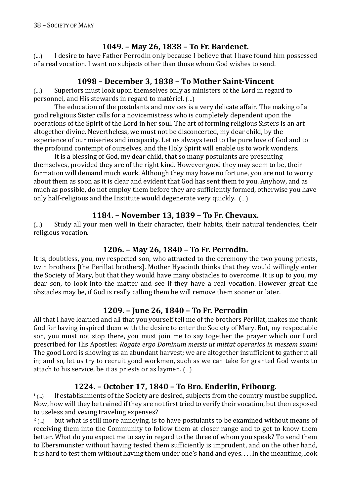## **1049. – May 26, 1838 – To Fr. Bardenet.**

(...) I desire to have Father Perrodin only because I believe that I have found him possessed of a real vocation. I want no subjects other than those whom God wishes to send.

### **1098 – December 3, 1838 – To Mother Saint‐Vincent**

(...) Superiors must look upon themselves only as ministers of the Lord in regard to personnel, and His stewards in regard to matériel. (...)

The education of the postulants and novices is a very delicate affair. The making of a good religious Sister calls for a novicemistress who is completely dependent upon the operations of the Spirit of the Lord in her soul. The art of forming religious Sisters is an art altogether divine. Nevertheless, we must not be disconcerted, my dear child, by the experience of our miseries and incapacity. Let us always tend to the pure love of God and to the profound contempt of ourselves, and the Holy Spirit will enable us to work wonders.

It is a blessing of God, my dear child, that so many postulants are presenting themselves, provided they are of the right kind. However good they may seem to be, their formation will demand much work. Although they may have no fortune, you are not to worry about them as soon as it is clear and evident that God has sent them to you. Anyhow, and as much as possible, do not employ them before they are sufficiently formed, otherwise you have only half-religious and the Institute would degenerate very quickly. (...)

## **1184. – November 13, 1839 – To Fr. Chevaux.**

(...) Study all your men well in their character, their habits, their natural tendencies, their religious vocation.

## **1206. – May 26, 1840 – To Fr. Perrodin.**

It is, doubtless, you, my respected son, who attracted to the ceremony the two young priests, twin brothers [the Perillat brothers]. Mother Hyacinth thinks that they would willingly enter the Society of Mary, but that they would have many obstacles to overcome. It is up to you, my dear son, to look into the matter and see if they have a real vocation. However great the obstacles may be, if God is really calling them he will remove them sooner or later.

## **1209. – June 26, 1840 – To Fr. Perrodin**

All that I have learned and all that you yourself tell me of the brothers Périllat, makes me thank God for having inspired them with the desire to enter the Society of Mary. But, my respectable son, you must not stop there, you must join me to say together the prayer which our Lord prescribed for His Apostles: *Rogate ergo Dominum messis ut mittat operarios in messem suam!* The good Lord is showing us an abundant harvest; we are altogether insufficient to gather it all in; and so, let us try to recruit good workmen, such as we can take for granted God wants to attach to his service, be it as priests or as laymen. (...)

## **1224. – October 17, 1840 – To Bro. Enderlin, Fribourg.**

 $1_{(-1)}$  If establishments of the Society are desired, subjects from the country must be supplied. Now, how will they be trained if they are not first tried to verify their vocation, but then exposed to useless and vexing traveling expenses?

 $2$  (...) but what is still more annoying, is to have postulants to be examined without means of receiving them into the Community to follow them at closer range and to get to know them better. What do you expect me to say in regard to the three of whom you speak? To send them to Ebersmunster without having tested them sufficiently is imprudent, and on the other hand, it is hard to test them without having them under one's hand and eyes. . . . In the meantime, look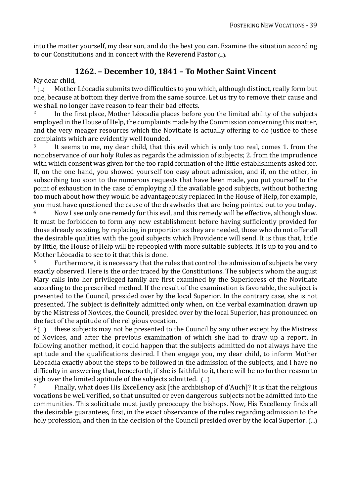into the matter yourself, my dear son, and do the best you can. Examine the situation according to our Constitutions and in concert with the Reverend Pastor  $(...)$ .

## **1262. – December 10, 1841 – To Mother Saint Vincent**

My dear child,

 $1_{(m)}$  Mother Léocadia submits two difficulties to you which, although distinct, really form but one, because at bottom they derive from the same source. Let us try to remove their cause and we shall no longer have reason to fear their bad effects.

<sup>2</sup> In the first place, Mother Léocadia places before you the limited ability of the subjects employed in the House of Help, the complaints made by the Commission concerning this matter, and the very meager resources which the Novitiate is actually offering to do justice to these complaints which are evidently well founded.

<sup>3</sup> It seems to me, my dear child, that this evil which is only too real, comes 1. from the nonobservance of our holy Rules as regards the admission of subjects; 2. from the imprudence with which consent was given for the too rapid formation of the little establishments asked for. If, on the one hand, you showed vourself too easy about admission, and if, on the other, in subscribing too soon to the numerous requests that have been made, you put yourself to the point of exhaustion in the case of employing all the available good subjects, without bothering too much about how they would be advantageously replaced in the House of Help, for example, you must have questioned the cause of the drawbacks that are being pointed out to you today.

Now I see only one remedy for this evil, and this remedy will be effective, although slow. It must be forbidden to form any new establishment before having sufficiently provided for those already existing, by replacing in proportion as they are needed, those who do not offer all the desirable qualities with the good subjects which Providence will send. It is thus that, little by little, the House of Help will be repeopled with more suitable subjects. It is up to you and to Mother Léocadia to see to it that this is done.

<sup>5</sup> Furthermore, it is necessary that the rules that control the admission of subjects be very exactly observed. Here is the order traced by the Constitutions. The subjects whom the august Mary calls into her privileged family are first examined by the Superioress of the Novitiate according to the prescribed method. If the result of the examination is favorable, the subject is presented to the Council, presided over by the local Superior. In the contrary case, she is not presented. The subject is definitely admitted only when, on the verbal examination drawn up by the Mistress of Novices, the Council, presided over by the local Superior, has pronounced on the fact of the aptitude of the religious vocation.

 $6$  (...) these subjects may not be presented to the Council by any other except by the Mistress of Novices, and after the previous examination of which she had to draw up a report. In following another method, it could happen that the subjects admitted do not always have the aptitude and the qualifications desired. I then engage you, my dear child, to inform Mother Léocadia exactly about the steps to be followed in the admission of the subjects, and I have no difficulty in answering that, henceforth, if she is faithful to it, there will be no further reason to sigh over the limited aptitude of the subjects admitted.  $(\ldots)$ 

<sup>7</sup> Finally, what does His Excellency ask [the archbishop of d'Auch]? It is that the religious vocations be well verified, so that unsuited or even dangerous subjects not be admitted into the communities. This solicitude must justly preoccupy the bishops. Now, His Excellency finds all the desirable guarantees, first, in the exact observance of the rules regarding admission to the holy profession, and then in the decision of the Council presided over by the local Superior. (...)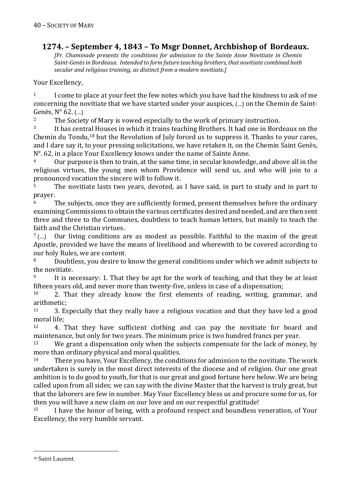## **1274. – September 4, 1843 – To Msgr Donnet, Archbishop of Bordeaux.**

*[Fr. Chaminade presents the conditions for admission to the Sainte Anne Novitiate in Chemin Saint‐Genèsin Bordeaux. Intended to form future teaching brothers, that novitiate combined both secular and religious training, as distinct from a modern novitiate.]*

Your Excellency,

 $1 \tI$  come to place at your feet the few notes which you have had the kindness to ask of me concerning the novitiate that we have started under your auspices, (...) on the Chemin de Saint-Genès,  $N^{\circ}$  62. (...)

 $2\,$  The Society of Mary is vowed especially to the work of primary instruction.

<sup>3</sup> It has central Houses in which it trains teaching Brothers. It had one in Bordeaux on the Chemin du Tondu,<sup>18</sup> but the Revolution of July forced us to suppress it. Thanks to your cares, and I dare say it, to your pressing solicitations, we have retaken it, on the Chemin Saint Genès,  $N^{\circ}$ . 62, in a place Your Excellency knows under the name of Sainte Anne.

 $4$  Our purpose is then to train, at the same time, in secular knowledge, and above all in the religious virtues, the young men whom Providence will send us, and who will join to a pronounced vocation the sincere will to follow it.

 $5$  The novitiate lasts two vears, devoted, as I have said, in part to study and in part to prayer. 

 $6$  The subjects, once they are sufficiently formed, present themselves before the ordinary examining Commissions to obtain the various certificates desired and needed, and are then sent three and three to the Communes, doubtless to teach human letters, but mainly to teach the faith and the Christian virtues.

 $7$  (...) Our living conditions are as modest as possible. Faithful to the maxim of the great Apostle, provided we have the means of livelihood and wherewith to be covered according to our holy Rules, we are content.

<sup>8</sup> Doubtless, you desire to know the general conditions under which we admit subjects to the novitiate.

It is necessary: 1. That they be apt for the work of teaching, and that they be at least fifteen years old, and never more than twenty-five, unless in case of a dispensation;

 $10$  2. That they already know the first elements of reading, writing, grammar, and arithmetic; 

 $11$  3. Especially that they really have a religious vocation and that they have led a good moral life;

<sup>12</sup> 4. That they have sufficient clothing and can pay the novitiate for board and maintenance, but only for two years. The minimum price is two hundred francs per year.

<sup>13</sup> We grant a dispensation only when the subjects compensate for the lack of money, by more than ordinary physical and moral qualities.

<sup>14</sup> There you have, Your Excellency, the conditions for admission to the novitiate. The work undertaken is surely in the most direct interests of the diocese and of religion. Our one great ambition is to do good to youth, for that is our great and good fortune here below. We are being called upon from all sides; we can say with the divine Master that the harvest is truly great, but that the laborers are few in number. May Your Excellency bless us and procure some for us, for then you will have a new claim on our love and on our respectful gratitude!

<sup>15</sup> I have the honor of being, with a profound respect and boundless veneration, of Your Excellency, the very humble servant.

<u> 1989 - Johann Barn, mars ar breithinn ar chuid ann an t-</u>

<sup>18</sup> Saint Laurent.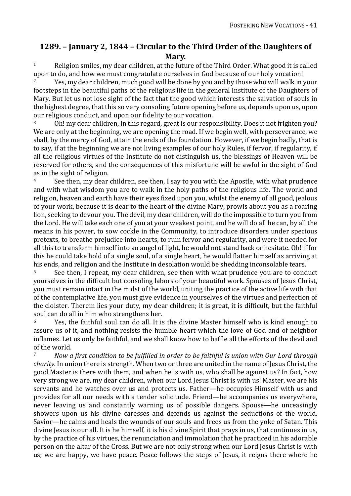## **1289. – January 2, 1844 – Circular to the Third Order of the Daughters of Mary.**

 $1$  Religion smiles, my dear children, at the future of the Third Order. What good it is called upon to do, and how we must congratulate ourselves in God because of our holy vocation!

 $2 \,$  Yes, my dear children, much good will be done by you and by those who will walk in your footsteps in the beautiful paths of the religious life in the general Institute of the Daughters of Mary. But let us not lose sight of the fact that the good which interests the salvation of souls in the highest degree, that this so very consoling future opening before us, depends upon us, upon our religious conduct, and upon our fidelity to our vocation.

<sup>3</sup> Oh! my dear children, in this regard, great is our responsibility. Does it not frighten you? We are only at the beginning, we are opening the road. If we begin well, with perseverance, we shall, by the mercy of God, attain the ends of the foundation. However, if we begin badly, that is to say, if at the beginning we are not living examples of our holy Rules, if fervor, if regularity, if all the religious virtues of the Institute do not distinguish us, the blessings of Heaven will be reserved for others, and the consequences of this misfortune will be awful in the sight of God as in the sight of religion.

<sup>4</sup> See then, my dear children, see then, I say to you with the Apostle, with what prudence and with what wisdom you are to walk in the holy paths of the religious life. The world and religion, heaven and earth have their eves fixed upon you, whilst the enemy of all good, jealous of your work, because it is dear to the heart of the divine Mary, prowls about you as a roaring lion, seeking to devour you. The devil, my dear children, will do the impossible to turn you from the Lord. He will take each one of you at your weakest point, and he will do all he can, by all the means in his power, to sow cockle in the Community, to introduce disorders under specious pretexts, to breathe prejudice into hearts, to ruin fervor and regularity, and were it needed for all this to transform himself into an angel of light, he would not stand back or hesitate. Oh! if for this he could take hold of a single soul, of a single heart, he would flatter himself as arriving at his ends, and religion and the Institute in desolation would be shedding inconsolable tears.

5 See then, I repeat, my dear children, see then with what prudence you are to conduct yourselves in the difficult but consoling labors of your beautiful work. Spouses of Jesus Christ, you must remain intact in the midst of the world, uniting the practice of the active life with that of the contemplative life, you must give evidence in yourselves of the virtues and perfection of the cloister. Therein lies your duty, my dear children; it is great, it is difficult, but the faithful soul can do all in him who strengthens her.

 $6$  Yes, the faithful soul can do all. It is the divine Master himself who is kind enough to assure us of it, and nothing resists the humble heart which the love of God and of neighbor inflames. Let us only be faithful, and we shall know how to baffle all the efforts of the devil and of the world.

<sup>7</sup> *Now a first condition to be fulfilled in order to be faithful is union with Our Lord through charity*. In union there is strength. When two or three are united in the name of Jesus Christ, the good Master is there with them, and when he is with us, who shall be against us? In fact, how very strong we are, my dear children, when our Lord Jesus Christ is with us! Master, we are his servants and he watches over us and protects us. Father—he occupies Himself with us and provides for all our needs with a tender solicitude. Friend—he accompanies us everywhere, never leaving us and constantly warning us of possible dangers. Spouse—he unceasingly showers upon us his divine caresses and defends us against the seductions of the world. Savior—he calms and heals the wounds of our souls and frees us from the yoke of Satan. This divine Jesus is our all. It is he himself, it is his divine Spirit that prays in us, that continues in us, by the practice of his virtues, the renunciation and immolation that he practiced in his adorable person on the altar of the Cross. But we are not only strong when our Lord Jesus Christ is with us; we are happy, we have peace. Peace follows the steps of Jesus, it reigns there where he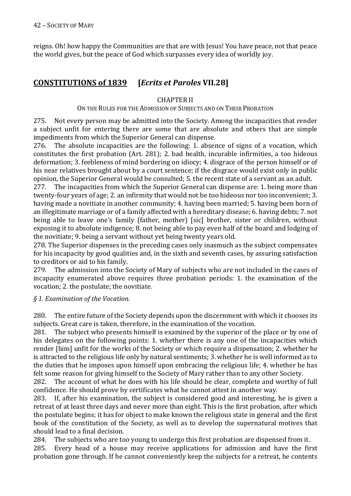reigns. Oh! how happy the Communities are that are with Jesus! You have peace, not that peace the world gives, but the peace of God which surpasses every idea of worldly joy.

## **CONSTITUTIONS of 1839 [***Ecrits et Paroles* **VII.28]**

#### **CHAPTER II**

#### ON THE RULES FOR THE ADMISSION OF SUBIECTS AND ON THEIR PROBATION

275. Not every person may be admitted into the Society. Among the incapacities that render a subject unfit for entering there are some that are absolute and others that are simple impediments from which the Superior General can dispense.

276. The absolute incapacities are the following: 1. absence of signs of a vocation, which constitutes the first probation (Art. 281); 2. bad health, incurable infirmities, a too hideous deformation; 3. feebleness of mind bordering on idiocy; 4. disgrace of the person himself or of his near relatives brought about by a court sentence; if the disgrace would exist only in public opinion, the Superior General would be consulted; 5. the recent state of a servant as an adult.

277. The incapacities from which the Superior General can dispense are: 1. being more than twenty-four years of age; 2. an infirmity that would not be too hideous nor too inconvenient; 3. having made a novitiate in another community; 4. having been married; 5. having been born of an illegitimate marriage or of a family affected with a hereditary disease; 6. having debts; 7. not being able to leave one's family (father, mother) [sic] brother, sister or children, without exposing it to absolute indigence; 8. not being able to pay even half of the board and lodging of the novitiate; 9. being a servant without yet being twenty years old.

278. The Superior dispenses in the preceding cases only inasmuch as the subject compensates for his incapacity by good qualities and, in the sixth and seventh cases, by assuring satisfaction to creditors or aid to his family.

279. The admission into the Society of Mary of subjects who are not included in the cases of incapacity enumerated above requires three probation periods: 1. the examination of the vocation; 2. the postulate; the novitiate.

#### *§ 1. Examination of the Vocation.*

280. The entire future of the Society depends upon the discernment with which it chooses its subjects. Great care is taken, therefore, in the examination of the vocation.

281. The subject who presents himself is examined by the superior of the place or by one of his delegates on the following points: 1. whether there is any one of the incapacities which render [him] unfit for the works of the Society or which require a dispensation; 2. whether he is attracted to the religious life only by natural sentiments; 3. whether he is well informed as to the duties that he imposes upon himself upon embracing the religious life; 4. whether he has felt some reason for giving himself to the Society of Mary rather than to any other Society.

282. The account of what he does with his life should be clear, complete and worthy of full confidence. He should prove by certificates what he cannot attest in another way.

283. If, after his examination, the subject is considered good and interesting, he is given a retreat of at least three days and never more than eight. This is the first probation, after which the postulate begins; it has for object to make known the religious state in general and the first book of the constitution of the Society, as well as to develop the supernatural motives that should lead to a final decision.

284. The subjects who are too young to undergo this first probation are dispensed from it.

285. Every head of a house may receive applications for admission and have the first probation gone through. If he cannot conveniently keep the subjects for a retreat, he contents